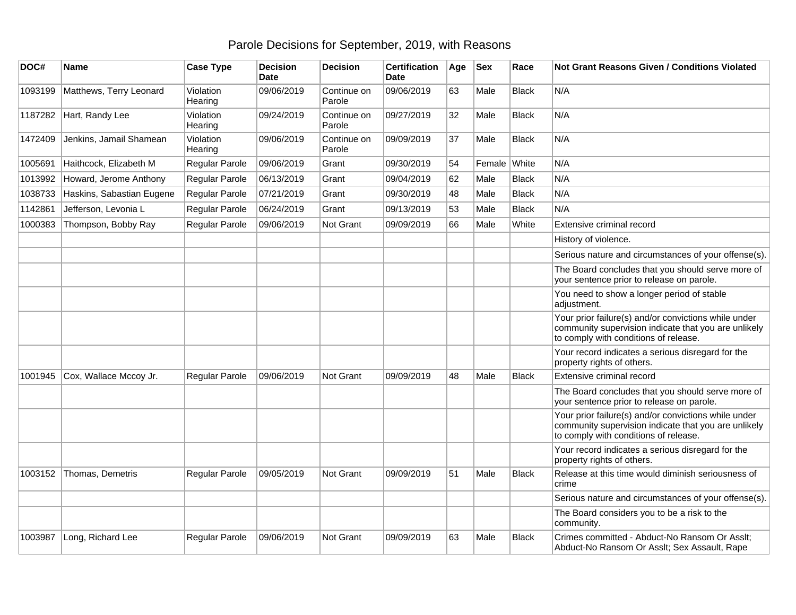## Parole Decisions for September, 2019, with Reasons

| DOC#    | Name                      | <b>Case Type</b>      | <b>Decision</b><br><b>Date</b> | <b>Decision</b>       | <b>Certification</b><br>Date | Age | <b>Sex</b> | Race         | <b>Not Grant Reasons Given / Conditions Violated</b>                                                                                                  |
|---------|---------------------------|-----------------------|--------------------------------|-----------------------|------------------------------|-----|------------|--------------|-------------------------------------------------------------------------------------------------------------------------------------------------------|
| 1093199 | Matthews, Terry Leonard   | Violation<br>Hearing  | 09/06/2019                     | Continue on<br>Parole | 09/06/2019                   | 63  | Male       | <b>Black</b> | N/A                                                                                                                                                   |
| 1187282 | Hart, Randy Lee           | Violation<br>Hearing  | 09/24/2019                     | Continue on<br>Parole | 09/27/2019                   | 32  | Male       | <b>Black</b> | N/A                                                                                                                                                   |
| 1472409 | Jenkins, Jamail Shamean   | Violation<br>Hearing  | 09/06/2019                     | Continue on<br>Parole | 09/09/2019                   | 37  | Male       | <b>Black</b> | N/A                                                                                                                                                   |
| 1005691 | Haithcock, Elizabeth M    | Regular Parole        | 09/06/2019                     | Grant                 | 09/30/2019                   | 54  | Female     | White        | N/A                                                                                                                                                   |
| 1013992 | Howard, Jerome Anthony    | Regular Parole        | 06/13/2019                     | Grant                 | 09/04/2019                   | 62  | Male       | <b>Black</b> | N/A                                                                                                                                                   |
| 1038733 | Haskins, Sabastian Eugene | Regular Parole        | 07/21/2019                     | Grant                 | 09/30/2019                   | 48  | Male       | <b>Black</b> | N/A                                                                                                                                                   |
| 1142861 | Jefferson, Levonia L      | Regular Parole        | 06/24/2019                     | Grant                 | 09/13/2019                   | 53  | Male       | <b>Black</b> | N/A                                                                                                                                                   |
| 1000383 | Thompson, Bobby Ray       | Regular Parole        | 09/06/2019                     | Not Grant             | 09/09/2019                   | 66  | Male       | White        | Extensive criminal record                                                                                                                             |
|         |                           |                       |                                |                       |                              |     |            |              | History of violence.                                                                                                                                  |
|         |                           |                       |                                |                       |                              |     |            |              | Serious nature and circumstances of your offense(s).                                                                                                  |
|         |                           |                       |                                |                       |                              |     |            |              | The Board concludes that you should serve more of<br>your sentence prior to release on parole.                                                        |
|         |                           |                       |                                |                       |                              |     |            |              | You need to show a longer period of stable<br>adjustment.                                                                                             |
|         |                           |                       |                                |                       |                              |     |            |              | Your prior failure(s) and/or convictions while under<br>community supervision indicate that you are unlikely<br>to comply with conditions of release. |
|         |                           |                       |                                |                       |                              |     |            |              | Your record indicates a serious disregard for the<br>property rights of others.                                                                       |
| 1001945 | Cox, Wallace Mccoy Jr.    | <b>Regular Parole</b> | 09/06/2019                     | Not Grant             | 09/09/2019                   | 48  | Male       | <b>Black</b> | Extensive criminal record                                                                                                                             |
|         |                           |                       |                                |                       |                              |     |            |              | The Board concludes that you should serve more of<br>your sentence prior to release on parole.                                                        |
|         |                           |                       |                                |                       |                              |     |            |              | Your prior failure(s) and/or convictions while under<br>community supervision indicate that you are unlikely<br>to comply with conditions of release. |
|         |                           |                       |                                |                       |                              |     |            |              | Your record indicates a serious disregard for the<br>property rights of others.                                                                       |
| 1003152 | Thomas, Demetris          | Regular Parole        | 09/05/2019                     | Not Grant             | 09/09/2019                   | 51  | Male       | <b>Black</b> | Release at this time would diminish seriousness of<br>crime                                                                                           |
|         |                           |                       |                                |                       |                              |     |            |              | Serious nature and circumstances of your offense(s).                                                                                                  |
|         |                           |                       |                                |                       |                              |     |            |              | The Board considers you to be a risk to the<br>community.                                                                                             |
| 1003987 | Long, Richard Lee         | <b>Regular Parole</b> | 09/06/2019                     | <b>Not Grant</b>      | 09/09/2019                   | 63  | Male       | <b>Black</b> | Crimes committed - Abduct-No Ransom Or Asslt;<br>Abduct-No Ransom Or Asslt; Sex Assault, Rape                                                         |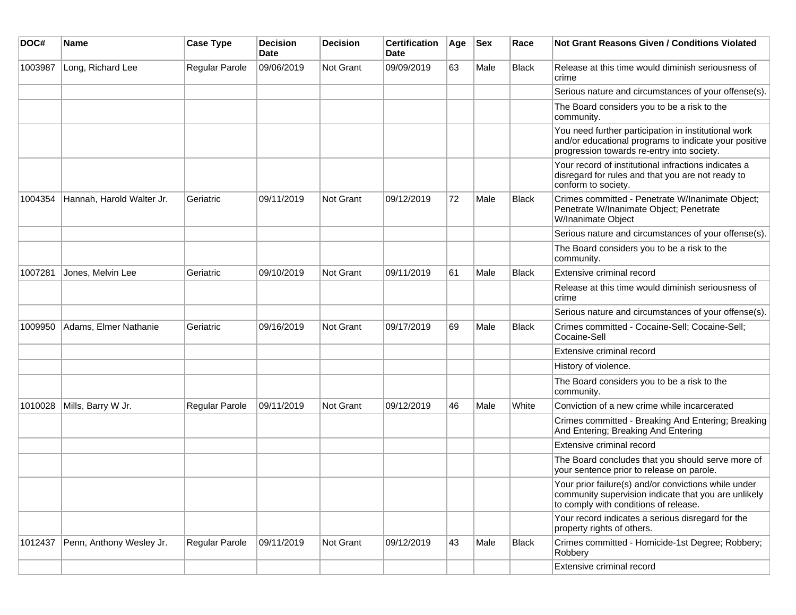| DOC#    | <b>Name</b>               | <b>Case Type</b>      | <b>Decision</b><br><b>Date</b> | <b>Decision</b> | <b>Certification</b><br><b>Date</b> | Age | <b>Sex</b> | Race         | Not Grant Reasons Given / Conditions Violated                                                                                                               |
|---------|---------------------------|-----------------------|--------------------------------|-----------------|-------------------------------------|-----|------------|--------------|-------------------------------------------------------------------------------------------------------------------------------------------------------------|
| 1003987 | Long, Richard Lee         | Regular Parole        | 09/06/2019                     | Not Grant       | 09/09/2019                          | 63  | Male       | Black        | Release at this time would diminish seriousness of<br>crime                                                                                                 |
|         |                           |                       |                                |                 |                                     |     |            |              | Serious nature and circumstances of your offense(s).                                                                                                        |
|         |                           |                       |                                |                 |                                     |     |            |              | The Board considers you to be a risk to the<br>community.                                                                                                   |
|         |                           |                       |                                |                 |                                     |     |            |              | You need further participation in institutional work<br>and/or educational programs to indicate your positive<br>progression towards re-entry into society. |
|         |                           |                       |                                |                 |                                     |     |            |              | Your record of institutional infractions indicates a<br>disregard for rules and that you are not ready to<br>conform to society.                            |
| 1004354 | Hannah, Harold Walter Jr. | Geriatric             | 09/11/2019                     | Not Grant       | 09/12/2019                          | 72  | Male       | <b>Black</b> | Crimes committed - Penetrate W/Inanimate Object;<br>Penetrate W/Inanimate Object; Penetrate<br>W/Inanimate Object                                           |
|         |                           |                       |                                |                 |                                     |     |            |              | Serious nature and circumstances of your offense(s).                                                                                                        |
|         |                           |                       |                                |                 |                                     |     |            |              | The Board considers you to be a risk to the<br>community.                                                                                                   |
| 1007281 | Jones, Melvin Lee         | Geriatric             | 09/10/2019                     | Not Grant       | 09/11/2019                          | 61  | Male       | <b>Black</b> | Extensive criminal record                                                                                                                                   |
|         |                           |                       |                                |                 |                                     |     |            |              | Release at this time would diminish seriousness of<br>crime                                                                                                 |
|         |                           |                       |                                |                 |                                     |     |            |              | Serious nature and circumstances of your offense(s).                                                                                                        |
| 1009950 | Adams, Elmer Nathanie     | Geriatric             | 09/16/2019                     | Not Grant       | 09/17/2019                          | 69  | Male       | <b>Black</b> | Crimes committed - Cocaine-Sell; Cocaine-Sell;<br>Cocaine-Sell                                                                                              |
|         |                           |                       |                                |                 |                                     |     |            |              | Extensive criminal record                                                                                                                                   |
|         |                           |                       |                                |                 |                                     |     |            |              | History of violence.                                                                                                                                        |
|         |                           |                       |                                |                 |                                     |     |            |              | The Board considers you to be a risk to the<br>community.                                                                                                   |
| 1010028 | Mills, Barry W Jr.        | <b>Regular Parole</b> | 09/11/2019                     | Not Grant       | 09/12/2019                          | 46  | Male       | White        | Conviction of a new crime while incarcerated                                                                                                                |
|         |                           |                       |                                |                 |                                     |     |            |              | Crimes committed - Breaking And Entering; Breaking<br>And Entering; Breaking And Entering                                                                   |
|         |                           |                       |                                |                 |                                     |     |            |              | Extensive criminal record                                                                                                                                   |
|         |                           |                       |                                |                 |                                     |     |            |              | The Board concludes that you should serve more of<br>your sentence prior to release on parole.                                                              |
|         |                           |                       |                                |                 |                                     |     |            |              | Your prior failure(s) and/or convictions while under<br>community supervision indicate that you are unlikely<br>to comply with conditions of release.       |
|         |                           |                       |                                |                 |                                     |     |            |              | Your record indicates a serious disregard for the<br>property rights of others.                                                                             |
| 1012437 | Penn, Anthony Wesley Jr.  | Regular Parole        | 09/11/2019                     | Not Grant       | 09/12/2019                          | 43  | Male       | <b>Black</b> | Crimes committed - Homicide-1st Degree; Robbery;<br>Robbery                                                                                                 |
|         |                           |                       |                                |                 |                                     |     |            |              | Extensive criminal record                                                                                                                                   |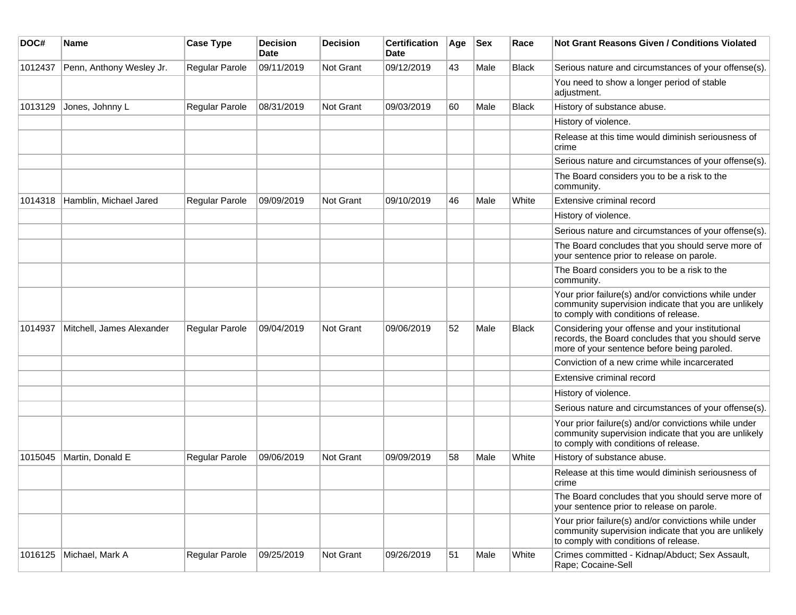| DOC#    | <b>Name</b>               | <b>Case Type</b> | <b>Decision</b><br><b>Date</b> | <b>Decision</b>  | <b>Certification</b><br>Date | Age | <b>Sex</b> | Race         | <b>Not Grant Reasons Given / Conditions Violated</b>                                                                                                  |
|---------|---------------------------|------------------|--------------------------------|------------------|------------------------------|-----|------------|--------------|-------------------------------------------------------------------------------------------------------------------------------------------------------|
| 1012437 | Penn, Anthony Wesley Jr.  | Regular Parole   | 09/11/2019                     | <b>Not Grant</b> | 09/12/2019                   | 43  | Male       | Black        | Serious nature and circumstances of your offense(s).                                                                                                  |
|         |                           |                  |                                |                  |                              |     |            |              | You need to show a longer period of stable<br>adjustment.                                                                                             |
| 1013129 | Jones, Johnny L           | Regular Parole   | 08/31/2019                     | <b>Not Grant</b> | 09/03/2019                   | 60  | Male       | <b>Black</b> | History of substance abuse.                                                                                                                           |
|         |                           |                  |                                |                  |                              |     |            |              | History of violence.                                                                                                                                  |
|         |                           |                  |                                |                  |                              |     |            |              | Release at this time would diminish seriousness of<br>crime                                                                                           |
|         |                           |                  |                                |                  |                              |     |            |              | Serious nature and circumstances of your offense(s).                                                                                                  |
|         |                           |                  |                                |                  |                              |     |            |              | The Board considers you to be a risk to the<br>community.                                                                                             |
| 1014318 | Hamblin, Michael Jared    | Regular Parole   | 09/09/2019                     | Not Grant        | 09/10/2019                   | 46  | Male       | White        | Extensive criminal record                                                                                                                             |
|         |                           |                  |                                |                  |                              |     |            |              | History of violence.                                                                                                                                  |
|         |                           |                  |                                |                  |                              |     |            |              | Serious nature and circumstances of your offense(s).                                                                                                  |
|         |                           |                  |                                |                  |                              |     |            |              | The Board concludes that you should serve more of<br>your sentence prior to release on parole.                                                        |
|         |                           |                  |                                |                  |                              |     |            |              | The Board considers you to be a risk to the<br>community.                                                                                             |
|         |                           |                  |                                |                  |                              |     |            |              | Your prior failure(s) and/or convictions while under<br>community supervision indicate that you are unlikely<br>to comply with conditions of release. |
| 1014937 | Mitchell, James Alexander | Regular Parole   | 09/04/2019                     | <b>Not Grant</b> | 09/06/2019                   | 52  | Male       | <b>Black</b> | Considering your offense and your institutional<br>records, the Board concludes that you should serve<br>more of your sentence before being paroled.  |
|         |                           |                  |                                |                  |                              |     |            |              | Conviction of a new crime while incarcerated                                                                                                          |
|         |                           |                  |                                |                  |                              |     |            |              | Extensive criminal record                                                                                                                             |
|         |                           |                  |                                |                  |                              |     |            |              | History of violence.                                                                                                                                  |
|         |                           |                  |                                |                  |                              |     |            |              | Serious nature and circumstances of your offense(s).                                                                                                  |
|         |                           |                  |                                |                  |                              |     |            |              | Your prior failure(s) and/or convictions while under<br>community supervision indicate that you are unlikely<br>to comply with conditions of release. |
| 1015045 | Martin, Donald E          | Regular Parole   | 09/06/2019                     | <b>Not Grant</b> | 09/09/2019                   | 58  | Male       | White        | History of substance abuse.                                                                                                                           |
|         |                           |                  |                                |                  |                              |     |            |              | Release at this time would diminish seriousness of<br> crime                                                                                          |
|         |                           |                  |                                |                  |                              |     |            |              | The Board concludes that you should serve more of<br>your sentence prior to release on parole.                                                        |
|         |                           |                  |                                |                  |                              |     |            |              | Your prior failure(s) and/or convictions while under<br>community supervision indicate that you are unlikely<br>to comply with conditions of release. |
| 1016125 | Michael, Mark A           | Regular Parole   | 09/25/2019                     | Not Grant        | 09/26/2019                   | 51  | Male       | White        | Crimes committed - Kidnap/Abduct; Sex Assault,<br>Rape; Cocaine-Sell                                                                                  |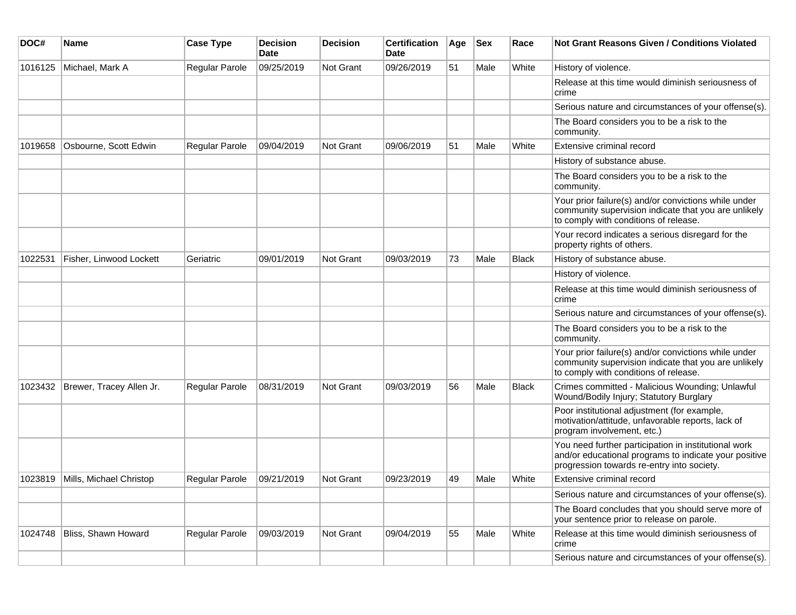| DOC#    | <b>Name</b>              | <b>Case Type</b> | <b>Decision</b><br>Date | <b>Decision</b>  | <b>Certification</b><br>Date | Age | <b>Sex</b> | Race         | Not Grant Reasons Given / Conditions Violated                                                                                                               |
|---------|--------------------------|------------------|-------------------------|------------------|------------------------------|-----|------------|--------------|-------------------------------------------------------------------------------------------------------------------------------------------------------------|
| 1016125 | Michael, Mark A          | Regular Parole   | 09/25/2019              | Not Grant        | 09/26/2019                   | 51  | Male       | White        | History of violence.                                                                                                                                        |
|         |                          |                  |                         |                  |                              |     |            |              | Release at this time would diminish seriousness of<br>crime                                                                                                 |
|         |                          |                  |                         |                  |                              |     |            |              | Serious nature and circumstances of your offense(s).                                                                                                        |
|         |                          |                  |                         |                  |                              |     |            |              | The Board considers you to be a risk to the<br>community.                                                                                                   |
| 1019658 | Osbourne, Scott Edwin    | Regular Parole   | 09/04/2019              | <b>Not Grant</b> | 09/06/2019                   | 51  | Male       | White        | Extensive criminal record                                                                                                                                   |
|         |                          |                  |                         |                  |                              |     |            |              | History of substance abuse.                                                                                                                                 |
|         |                          |                  |                         |                  |                              |     |            |              | The Board considers you to be a risk to the<br>community.                                                                                                   |
|         |                          |                  |                         |                  |                              |     |            |              | Your prior failure(s) and/or convictions while under<br>community supervision indicate that you are unlikely<br>to comply with conditions of release.       |
|         |                          |                  |                         |                  |                              |     |            |              | Your record indicates a serious disregard for the<br>property rights of others.                                                                             |
| 1022531 | Fisher, Linwood Lockett  | Geriatric        | 09/01/2019              | Not Grant        | 09/03/2019                   | 73  | Male       | <b>Black</b> | History of substance abuse.                                                                                                                                 |
|         |                          |                  |                         |                  |                              |     |            |              | History of violence.                                                                                                                                        |
|         |                          |                  |                         |                  |                              |     |            |              | Release at this time would diminish seriousness of<br>crime                                                                                                 |
|         |                          |                  |                         |                  |                              |     |            |              | Serious nature and circumstances of your offense(s).                                                                                                        |
|         |                          |                  |                         |                  |                              |     |            |              | The Board considers you to be a risk to the<br>community.                                                                                                   |
|         |                          |                  |                         |                  |                              |     |            |              | Your prior failure(s) and/or convictions while under<br>community supervision indicate that you are unlikely<br>to comply with conditions of release.       |
| 1023432 | Brewer, Tracey Allen Jr. | Regular Parole   | 08/31/2019              | <b>Not Grant</b> | 09/03/2019                   | 56  | Male       | <b>Black</b> | Crimes committed - Malicious Wounding; Unlawful<br>Wound/Bodily Injury; Statutory Burglary                                                                  |
|         |                          |                  |                         |                  |                              |     |            |              | Poor institutional adjustment (for example,<br>motivation/attitude, unfavorable reports, lack of<br>program involvement, etc.)                              |
|         |                          |                  |                         |                  |                              |     |            |              | You need further participation in institutional work<br>and/or educational programs to indicate your positive<br>progression towards re-entry into society. |
| 1023819 | Mills, Michael Christop  | Regular Parole   | 09/21/2019              | <b>Not Grant</b> | 09/23/2019                   | 49  | Male       | White        | Extensive criminal record                                                                                                                                   |
|         |                          |                  |                         |                  |                              |     |            |              | Serious nature and circumstances of your offense(s).                                                                                                        |
|         |                          |                  |                         |                  |                              |     |            |              | The Board concludes that you should serve more of<br>your sentence prior to release on parole.                                                              |
| 1024748 | Bliss, Shawn Howard      | Regular Parole   | 09/03/2019              | Not Grant        | 09/04/2019                   | 55  | Male       | White        | Release at this time would diminish seriousness of<br>crime                                                                                                 |
|         |                          |                  |                         |                  |                              |     |            |              | Serious nature and circumstances of your offense(s).                                                                                                        |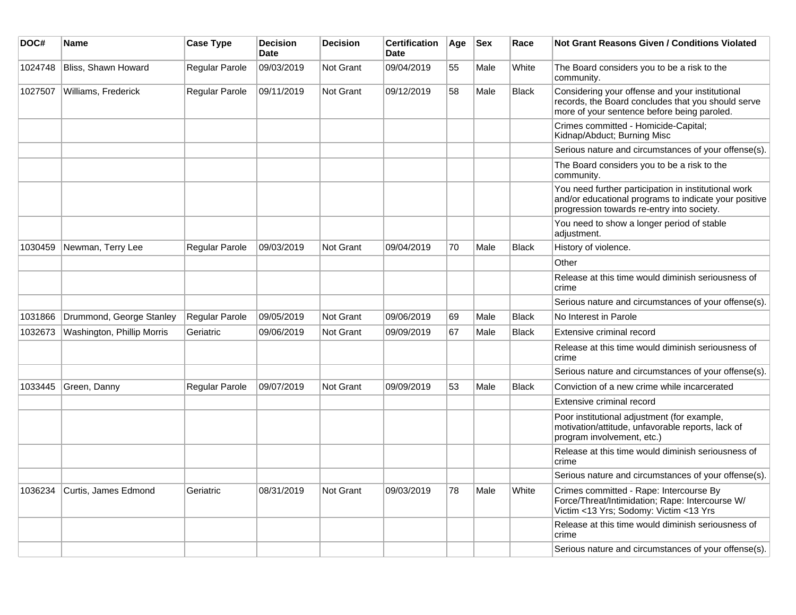| DOC#    | <b>Name</b>                | <b>Case Type</b>      | <b>Decision</b><br><b>Date</b> | <b>Decision</b> | <b>Certification</b><br><b>Date</b> | Age | <b>Sex</b> | Race         | Not Grant Reasons Given / Conditions Violated                                                                                                               |
|---------|----------------------------|-----------------------|--------------------------------|-----------------|-------------------------------------|-----|------------|--------------|-------------------------------------------------------------------------------------------------------------------------------------------------------------|
| 1024748 | Bliss, Shawn Howard        | Regular Parole        | 09/03/2019                     | Not Grant       | 09/04/2019                          | 55  | Male       | White        | The Board considers you to be a risk to the<br>community.                                                                                                   |
| 1027507 | Williams, Frederick        | Regular Parole        | 09/11/2019                     | Not Grant       | 09/12/2019                          | 58  | Male       | <b>Black</b> | Considering your offense and your institutional<br>records, the Board concludes that you should serve<br>more of your sentence before being paroled.        |
|         |                            |                       |                                |                 |                                     |     |            |              | Crimes committed - Homicide-Capital;<br>Kidnap/Abduct; Burning Misc                                                                                         |
|         |                            |                       |                                |                 |                                     |     |            |              | Serious nature and circumstances of your offense(s).                                                                                                        |
|         |                            |                       |                                |                 |                                     |     |            |              | The Board considers you to be a risk to the<br>community.                                                                                                   |
|         |                            |                       |                                |                 |                                     |     |            |              | You need further participation in institutional work<br>and/or educational programs to indicate your positive<br>progression towards re-entry into society. |
|         |                            |                       |                                |                 |                                     |     |            |              | You need to show a longer period of stable<br>adjustment.                                                                                                   |
| 1030459 | Newman, Terry Lee          | <b>Regular Parole</b> | 09/03/2019                     | Not Grant       | 09/04/2019                          | 70  | Male       | Black        | History of violence.                                                                                                                                        |
|         |                            |                       |                                |                 |                                     |     |            |              | Other                                                                                                                                                       |
|         |                            |                       |                                |                 |                                     |     |            |              | Release at this time would diminish seriousness of<br>crime                                                                                                 |
|         |                            |                       |                                |                 |                                     |     |            |              | Serious nature and circumstances of your offense(s).                                                                                                        |
| 1031866 | Drummond, George Stanley   | <b>Regular Parole</b> | 09/05/2019                     | Not Grant       | 09/06/2019                          | 69  | Male       | <b>Black</b> | No Interest in Parole                                                                                                                                       |
| 1032673 | Washington, Phillip Morris | Geriatric             | 09/06/2019                     | Not Grant       | 09/09/2019                          | 67  | Male       | <b>Black</b> | Extensive criminal record                                                                                                                                   |
|         |                            |                       |                                |                 |                                     |     |            |              | Release at this time would diminish seriousness of<br>crime                                                                                                 |
|         |                            |                       |                                |                 |                                     |     |            |              | Serious nature and circumstances of your offense(s).                                                                                                        |
| 1033445 | Green, Danny               | Regular Parole        | 09/07/2019                     | Not Grant       | 09/09/2019                          | 53  | Male       | <b>Black</b> | Conviction of a new crime while incarcerated                                                                                                                |
|         |                            |                       |                                |                 |                                     |     |            |              | Extensive criminal record                                                                                                                                   |
|         |                            |                       |                                |                 |                                     |     |            |              | Poor institutional adjustment (for example,<br>motivation/attitude, unfavorable reports, lack of<br>program involvement, etc.)                              |
|         |                            |                       |                                |                 |                                     |     |            |              | Release at this time would diminish seriousness of<br>crime                                                                                                 |
|         |                            |                       |                                |                 |                                     |     |            |              | Serious nature and circumstances of your offense(s).                                                                                                        |
| 1036234 | Curtis, James Edmond       | Geriatric             | 08/31/2019                     | Not Grant       | 09/03/2019                          | 78  | Male       | White        | Crimes committed - Rape: Intercourse By<br>Force/Threat/Intimidation; Rape: Intercourse W/<br>Victim <13 Yrs; Sodomy: Victim <13 Yrs                        |
|         |                            |                       |                                |                 |                                     |     |            |              | Release at this time would diminish seriousness of<br>crime                                                                                                 |
|         |                            |                       |                                |                 |                                     |     |            |              | Serious nature and circumstances of your offense(s).                                                                                                        |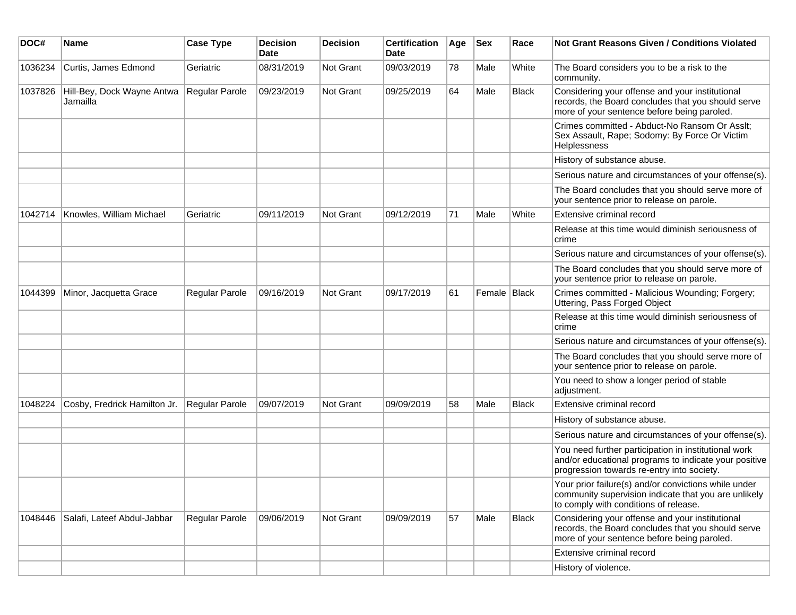| DOC#    | <b>Name</b>                            | <b>Case Type</b> | Decision<br><b>Date</b> | <b>Decision</b>  | <b>Certification</b><br>Date | Age | <b>Sex</b>   | Race         | <b>Not Grant Reasons Given / Conditions Violated</b>                                                                                                        |
|---------|----------------------------------------|------------------|-------------------------|------------------|------------------------------|-----|--------------|--------------|-------------------------------------------------------------------------------------------------------------------------------------------------------------|
| 1036234 | Curtis, James Edmond                   | Geriatric        | 08/31/2019              | <b>Not Grant</b> | 09/03/2019                   | 78  | Male         | White        | The Board considers you to be a risk to the<br>community.                                                                                                   |
| 1037826 | Hill-Bey, Dock Wayne Antwa<br>Jamailla | Regular Parole   | 09/23/2019              | Not Grant        | 09/25/2019                   | 64  | Male         | <b>Black</b> | Considering your offense and your institutional<br>records, the Board concludes that you should serve<br>more of your sentence before being paroled.        |
|         |                                        |                  |                         |                  |                              |     |              |              | Crimes committed - Abduct-No Ransom Or Asslt;<br>Sex Assault, Rape; Sodomy: By Force Or Victim<br>Helplessness                                              |
|         |                                        |                  |                         |                  |                              |     |              |              | History of substance abuse.                                                                                                                                 |
|         |                                        |                  |                         |                  |                              |     |              |              | Serious nature and circumstances of your offense(s).                                                                                                        |
|         |                                        |                  |                         |                  |                              |     |              |              | The Board concludes that you should serve more of<br>your sentence prior to release on parole.                                                              |
| 1042714 | Knowles, William Michael               | Geriatric        | 09/11/2019              | <b>Not Grant</b> | 09/12/2019                   | 71  | Male         | White        | Extensive criminal record                                                                                                                                   |
|         |                                        |                  |                         |                  |                              |     |              |              | Release at this time would diminish seriousness of<br>crime                                                                                                 |
|         |                                        |                  |                         |                  |                              |     |              |              | Serious nature and circumstances of your offense(s).                                                                                                        |
|         |                                        |                  |                         |                  |                              |     |              |              | The Board concludes that you should serve more of<br>your sentence prior to release on parole.                                                              |
| 1044399 | Minor, Jacquetta Grace                 | Regular Parole   | 09/16/2019              | <b>Not Grant</b> | 09/17/2019                   | 61  | Female Black |              | Crimes committed - Malicious Wounding; Forgery;<br>Uttering, Pass Forged Object                                                                             |
|         |                                        |                  |                         |                  |                              |     |              |              | Release at this time would diminish seriousness of<br>crime                                                                                                 |
|         |                                        |                  |                         |                  |                              |     |              |              | Serious nature and circumstances of your offense(s).                                                                                                        |
|         |                                        |                  |                         |                  |                              |     |              |              | The Board concludes that you should serve more of<br>your sentence prior to release on parole.                                                              |
|         |                                        |                  |                         |                  |                              |     |              |              | You need to show a longer period of stable<br>adjustment.                                                                                                   |
| 1048224 | Cosby, Fredrick Hamilton Jr.           | Regular Parole   | 09/07/2019              | <b>Not Grant</b> | 09/09/2019                   | 58  | Male         | <b>Black</b> | Extensive criminal record                                                                                                                                   |
|         |                                        |                  |                         |                  |                              |     |              |              | History of substance abuse.                                                                                                                                 |
|         |                                        |                  |                         |                  |                              |     |              |              | Serious nature and circumstances of your offense(s).                                                                                                        |
|         |                                        |                  |                         |                  |                              |     |              |              | You need further participation in institutional work<br>and/or educational programs to indicate your positive<br>progression towards re-entry into society. |
|         |                                        |                  |                         |                  |                              |     |              |              | Your prior failure(s) and/or convictions while under<br>community supervision indicate that you are unlikely<br>to comply with conditions of release.       |
| 1048446 | Salafi, Lateef Abdul-Jabbar            | Regular Parole   | 09/06/2019              | Not Grant        | 09/09/2019                   | 57  | Male         | <b>Black</b> | Considering your offense and your institutional<br>records, the Board concludes that you should serve<br>more of your sentence before being paroled.        |
|         |                                        |                  |                         |                  |                              |     |              |              | Extensive criminal record                                                                                                                                   |
|         |                                        |                  |                         |                  |                              |     |              |              | History of violence.                                                                                                                                        |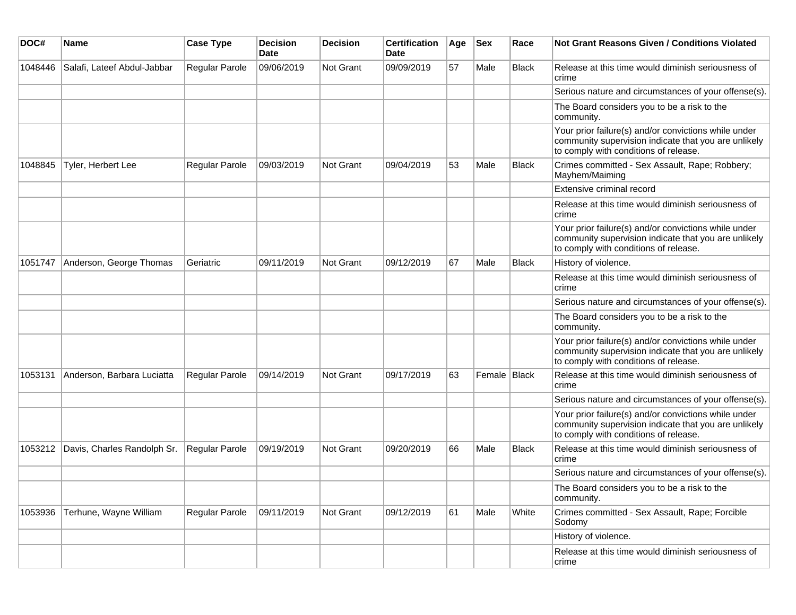| DOC#    | <b>Name</b>                 | <b>Case Type</b>      | <b>Decision</b><br>Date | <b>Decision</b>  | <b>Certification</b><br>Date | Age | <b>Sex</b>     | Race         | <b>Not Grant Reasons Given / Conditions Violated</b>                                                                                                  |
|---------|-----------------------------|-----------------------|-------------------------|------------------|------------------------------|-----|----------------|--------------|-------------------------------------------------------------------------------------------------------------------------------------------------------|
| 1048446 | Salafi, Lateef Abdul-Jabbar | Regular Parole        | 09/06/2019              | Not Grant        | 09/09/2019                   | 57  | Male           | <b>Black</b> | Release at this time would diminish seriousness of<br>crime                                                                                           |
|         |                             |                       |                         |                  |                              |     |                |              | Serious nature and circumstances of your offense(s).                                                                                                  |
|         |                             |                       |                         |                  |                              |     |                |              | The Board considers you to be a risk to the<br>community.                                                                                             |
|         |                             |                       |                         |                  |                              |     |                |              | Your prior failure(s) and/or convictions while under<br>community supervision indicate that you are unlikely<br>to comply with conditions of release. |
| 1048845 | Tyler, Herbert Lee          | Regular Parole        | 09/03/2019              | <b>Not Grant</b> | 09/04/2019                   | 53  | Male           | Black        | Crimes committed - Sex Assault, Rape; Robbery;<br>Mayhem/Maiming                                                                                      |
|         |                             |                       |                         |                  |                              |     |                |              | Extensive criminal record                                                                                                                             |
|         |                             |                       |                         |                  |                              |     |                |              | Release at this time would diminish seriousness of<br>crime                                                                                           |
|         |                             |                       |                         |                  |                              |     |                |              | Your prior failure(s) and/or convictions while under<br>community supervision indicate that you are unlikely<br>to comply with conditions of release. |
| 1051747 | Anderson, George Thomas     | Geriatric             | 09/11/2019              | <b>Not Grant</b> | 09/12/2019                   | 67  | Male           | Black        | History of violence.                                                                                                                                  |
|         |                             |                       |                         |                  |                              |     |                |              | Release at this time would diminish seriousness of<br>crime                                                                                           |
|         |                             |                       |                         |                  |                              |     |                |              | Serious nature and circumstances of your offense(s).                                                                                                  |
|         |                             |                       |                         |                  |                              |     |                |              | The Board considers you to be a risk to the<br>community.                                                                                             |
|         |                             |                       |                         |                  |                              |     |                |              | Your prior failure(s) and/or convictions while under<br>community supervision indicate that you are unlikely<br>to comply with conditions of release. |
| 1053131 | Anderson, Barbara Luciatta  | <b>Regular Parole</b> | 09/14/2019              | <b>Not Grant</b> | 09/17/2019                   | 63  | Female   Black |              | Release at this time would diminish seriousness of<br>crime                                                                                           |
|         |                             |                       |                         |                  |                              |     |                |              | Serious nature and circumstances of your offense(s).                                                                                                  |
|         |                             |                       |                         |                  |                              |     |                |              | Your prior failure(s) and/or convictions while under<br>community supervision indicate that you are unlikely<br>to comply with conditions of release. |
| 1053212 | Davis, Charles Randolph Sr. | Regular Parole        | 09/19/2019              | Not Grant        | 09/20/2019                   | 66  | Male           | <b>Black</b> | Release at this time would diminish seriousness of<br>crime                                                                                           |
|         |                             |                       |                         |                  |                              |     |                |              | Serious nature and circumstances of your offense(s).                                                                                                  |
|         |                             |                       |                         |                  |                              |     |                |              | The Board considers you to be a risk to the<br>community.                                                                                             |
| 1053936 | Terhune, Wayne William      | Regular Parole        | 09/11/2019              | Not Grant        | 09/12/2019                   | 61  | Male           | White        | Crimes committed - Sex Assault, Rape; Forcible<br>Sodomy                                                                                              |
|         |                             |                       |                         |                  |                              |     |                |              | History of violence.                                                                                                                                  |
|         |                             |                       |                         |                  |                              |     |                |              | Release at this time would diminish seriousness of<br>crime                                                                                           |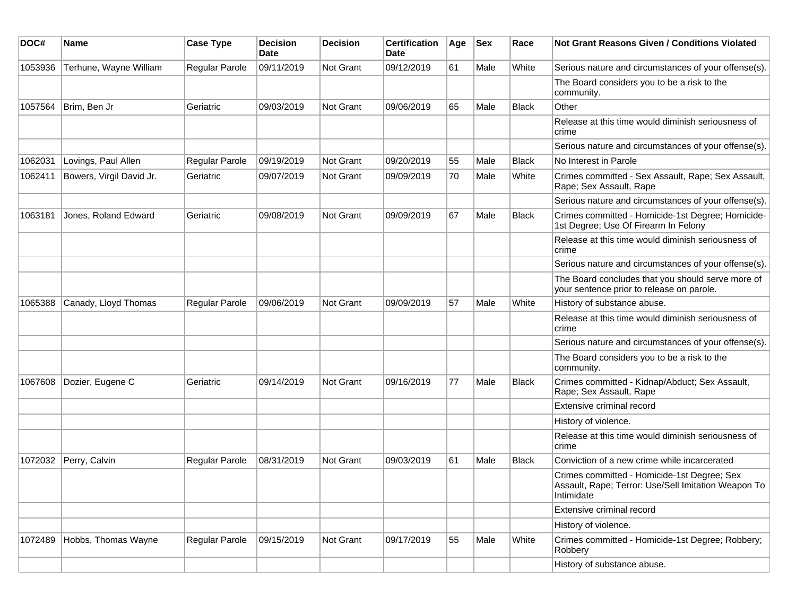| DOC#    | <b>Name</b>              | <b>Case Type</b>      | <b>Decision</b><br>Date | <b>Decision</b>  | <b>Certification</b><br>Date | Age | <b>Sex</b> | Race         | Not Grant Reasons Given / Conditions Violated                                                                    |
|---------|--------------------------|-----------------------|-------------------------|------------------|------------------------------|-----|------------|--------------|------------------------------------------------------------------------------------------------------------------|
| 1053936 | Terhune, Wayne William   | Regular Parole        | 09/11/2019              | Not Grant        | 09/12/2019                   | 61  | Male       | White        | Serious nature and circumstances of your offense(s).                                                             |
|         |                          |                       |                         |                  |                              |     |            |              | The Board considers you to be a risk to the<br>community.                                                        |
|         | 1057564   Brim, Ben Jr   | Geriatric             | 09/03/2019              | <b>Not Grant</b> | 09/06/2019                   | 65  | Male       | Black        | Other                                                                                                            |
|         |                          |                       |                         |                  |                              |     |            |              | Release at this time would diminish seriousness of<br>crime                                                      |
|         |                          |                       |                         |                  |                              |     |            |              | Serious nature and circumstances of your offense(s).                                                             |
| 1062031 | Lovings, Paul Allen      | <b>Regular Parole</b> | 09/19/2019              | <b>Not Grant</b> | 09/20/2019                   | 55  | Male       | <b>Black</b> | No Interest in Parole                                                                                            |
| 1062411 | Bowers, Virgil David Jr. | Geriatric             | 09/07/2019              | <b>Not Grant</b> | 09/09/2019                   | 70  | Male       | White        | Crimes committed - Sex Assault, Rape; Sex Assault,<br>Rape; Sex Assault, Rape                                    |
|         |                          |                       |                         |                  |                              |     |            |              | Serious nature and circumstances of your offense(s).                                                             |
| 1063181 | Jones, Roland Edward     | Geriatric             | 09/08/2019              | Not Grant        | 09/09/2019                   | 67  | Male       | <b>Black</b> | Crimes committed - Homicide-1st Degree; Homicide-<br>1st Degree; Use Of Firearm In Felony                        |
|         |                          |                       |                         |                  |                              |     |            |              | Release at this time would diminish seriousness of<br>crime                                                      |
|         |                          |                       |                         |                  |                              |     |            |              | Serious nature and circumstances of your offense(s).                                                             |
|         |                          |                       |                         |                  |                              |     |            |              | The Board concludes that you should serve more of<br>your sentence prior to release on parole.                   |
| 1065388 | Canady, Lloyd Thomas     | <b>Regular Parole</b> | 09/06/2019              | <b>Not Grant</b> | 09/09/2019                   | 57  | Male       | White        | History of substance abuse.                                                                                      |
|         |                          |                       |                         |                  |                              |     |            |              | Release at this time would diminish seriousness of<br>crime                                                      |
|         |                          |                       |                         |                  |                              |     |            |              | Serious nature and circumstances of your offense(s).                                                             |
|         |                          |                       |                         |                  |                              |     |            |              | The Board considers you to be a risk to the<br>community.                                                        |
| 1067608 | Dozier, Eugene C         | Geriatric             | 09/14/2019              | <b>Not Grant</b> | 09/16/2019                   | 77  | Male       | <b>Black</b> | Crimes committed - Kidnap/Abduct; Sex Assault,<br>Rape; Sex Assault, Rape                                        |
|         |                          |                       |                         |                  |                              |     |            |              | Extensive criminal record                                                                                        |
|         |                          |                       |                         |                  |                              |     |            |              | History of violence.                                                                                             |
|         |                          |                       |                         |                  |                              |     |            |              | Release at this time would diminish seriousness of<br>crime                                                      |
| 1072032 | Perry, Calvin            | <b>Regular Parole</b> | 08/31/2019              | Not Grant        | 09/03/2019                   | 61  | Male       | <b>Black</b> | Conviction of a new crime while incarcerated                                                                     |
|         |                          |                       |                         |                  |                              |     |            |              | Crimes committed - Homicide-1st Degree; Sex<br>Assault, Rape; Terror: Use/Sell Imitation Weapon To<br>Intimidate |
|         |                          |                       |                         |                  |                              |     |            |              | Extensive criminal record                                                                                        |
|         |                          |                       |                         |                  |                              |     |            |              | History of violence.                                                                                             |
| 1072489 | Hobbs, Thomas Wayne      | Regular Parole        | 09/15/2019              | Not Grant        | 09/17/2019                   | 55  | Male       | White        | Crimes committed - Homicide-1st Degree; Robbery;<br>Robbery                                                      |
|         |                          |                       |                         |                  |                              |     |            |              | History of substance abuse.                                                                                      |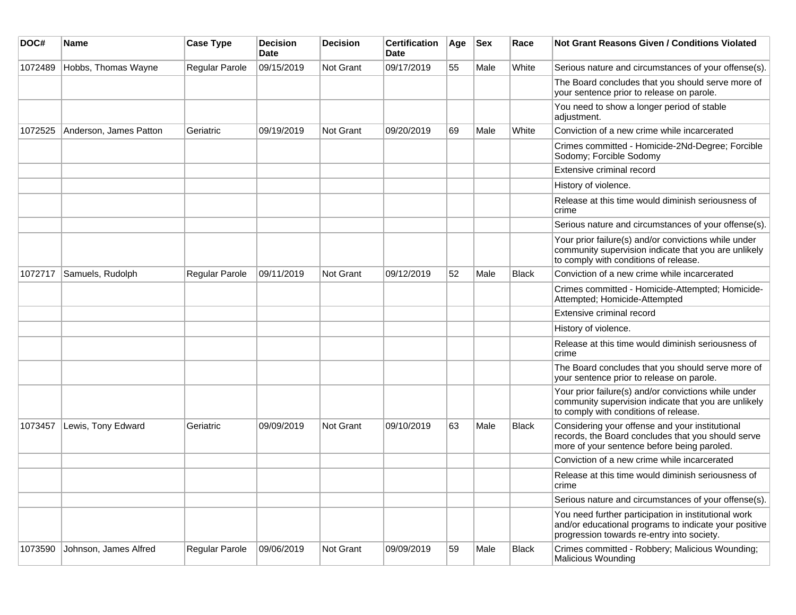| DOC#    | Name                   | <b>Case Type</b> | <b>Decision</b><br><b>Date</b> | <b>Decision</b> | <b>Certification</b><br>Date | Age | <b>Sex</b> | Race         | Not Grant Reasons Given / Conditions Violated                                                                                                               |
|---------|------------------------|------------------|--------------------------------|-----------------|------------------------------|-----|------------|--------------|-------------------------------------------------------------------------------------------------------------------------------------------------------------|
| 1072489 | Hobbs, Thomas Wayne    | Regular Parole   | 09/15/2019                     | Not Grant       | 09/17/2019                   | 55  | Male       | White        | Serious nature and circumstances of your offense(s).                                                                                                        |
|         |                        |                  |                                |                 |                              |     |            |              | The Board concludes that you should serve more of<br>your sentence prior to release on parole.                                                              |
|         |                        |                  |                                |                 |                              |     |            |              | You need to show a longer period of stable<br>adjustment.                                                                                                   |
| 1072525 | Anderson, James Patton | Geriatric        | 09/19/2019                     | Not Grant       | 09/20/2019                   | 69  | Male       | White        | Conviction of a new crime while incarcerated                                                                                                                |
|         |                        |                  |                                |                 |                              |     |            |              | Crimes committed - Homicide-2Nd-Degree; Forcible<br>Sodomy; Forcible Sodomy                                                                                 |
|         |                        |                  |                                |                 |                              |     |            |              | Extensive criminal record                                                                                                                                   |
|         |                        |                  |                                |                 |                              |     |            |              | History of violence.                                                                                                                                        |
|         |                        |                  |                                |                 |                              |     |            |              | Release at this time would diminish seriousness of<br>crime                                                                                                 |
|         |                        |                  |                                |                 |                              |     |            |              | Serious nature and circumstances of your offense(s).                                                                                                        |
|         |                        |                  |                                |                 |                              |     |            |              | Your prior failure(s) and/or convictions while under<br>community supervision indicate that you are unlikely<br>to comply with conditions of release.       |
| 1072717 | Samuels, Rudolph       | Regular Parole   | 09/11/2019                     | Not Grant       | 09/12/2019                   | 52  | Male       | <b>Black</b> | Conviction of a new crime while incarcerated                                                                                                                |
|         |                        |                  |                                |                 |                              |     |            |              | Crimes committed - Homicide-Attempted; Homicide-<br>Attempted; Homicide-Attempted                                                                           |
|         |                        |                  |                                |                 |                              |     |            |              | Extensive criminal record                                                                                                                                   |
|         |                        |                  |                                |                 |                              |     |            |              | History of violence.                                                                                                                                        |
|         |                        |                  |                                |                 |                              |     |            |              | Release at this time would diminish seriousness of<br>crime                                                                                                 |
|         |                        |                  |                                |                 |                              |     |            |              | The Board concludes that you should serve more of<br>your sentence prior to release on parole.                                                              |
|         |                        |                  |                                |                 |                              |     |            |              | Your prior failure(s) and/or convictions while under<br>community supervision indicate that you are unlikely<br>to comply with conditions of release.       |
| 1073457 | Lewis, Tony Edward     | Geriatric        | 09/09/2019                     | Not Grant       | 09/10/2019                   | 63  | Male       | <b>Black</b> | Considering your offense and your institutional<br>records, the Board concludes that you should serve<br>more of your sentence before being paroled.        |
|         |                        |                  |                                |                 |                              |     |            |              | Conviction of a new crime while incarcerated                                                                                                                |
|         |                        |                  |                                |                 |                              |     |            |              | Release at this time would diminish seriousness of<br>crime                                                                                                 |
|         |                        |                  |                                |                 |                              |     |            |              | Serious nature and circumstances of your offense(s).                                                                                                        |
|         |                        |                  |                                |                 |                              |     |            |              | You need further participation in institutional work<br>and/or educational programs to indicate your positive<br>progression towards re-entry into society. |
| 1073590 | Johnson, James Alfred  | Regular Parole   | 09/06/2019                     | Not Grant       | 09/09/2019                   | 59  | Male       | <b>Black</b> | Crimes committed - Robbery; Malicious Wounding;<br><b>Malicious Wounding</b>                                                                                |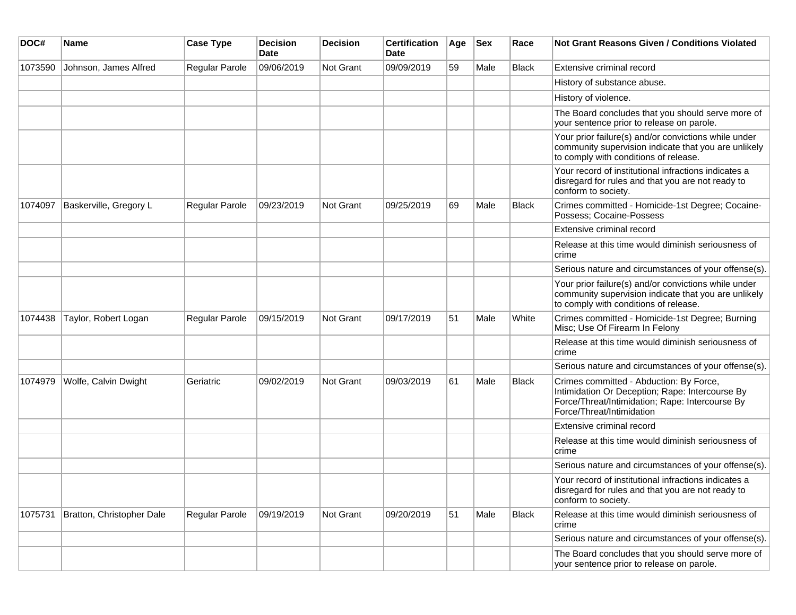| DOC#    | Name                      | <b>Case Type</b> | <b>Decision</b><br><b>Date</b> | <b>Decision</b> | <b>Certification</b><br>Date | Age | <b>Sex</b> | Race         | <b>Not Grant Reasons Given / Conditions Violated</b>                                                                                                                       |
|---------|---------------------------|------------------|--------------------------------|-----------------|------------------------------|-----|------------|--------------|----------------------------------------------------------------------------------------------------------------------------------------------------------------------------|
| 1073590 | Johnson, James Alfred     | Regular Parole   | 09/06/2019                     | Not Grant       | 09/09/2019                   | 59  | Male       | <b>Black</b> | Extensive criminal record                                                                                                                                                  |
|         |                           |                  |                                |                 |                              |     |            |              | History of substance abuse.                                                                                                                                                |
|         |                           |                  |                                |                 |                              |     |            |              | History of violence.                                                                                                                                                       |
|         |                           |                  |                                |                 |                              |     |            |              | The Board concludes that you should serve more of<br>your sentence prior to release on parole.                                                                             |
|         |                           |                  |                                |                 |                              |     |            |              | Your prior failure(s) and/or convictions while under<br>community supervision indicate that you are unlikely<br>to comply with conditions of release.                      |
|         |                           |                  |                                |                 |                              |     |            |              | Your record of institutional infractions indicates a<br>disregard for rules and that you are not ready to<br>conform to society.                                           |
| 1074097 | Baskerville, Gregory L    | Regular Parole   | 09/23/2019                     | Not Grant       | 09/25/2019                   | 69  | Male       | <b>Black</b> | Crimes committed - Homicide-1st Degree; Cocaine-<br>Possess; Cocaine-Possess                                                                                               |
|         |                           |                  |                                |                 |                              |     |            |              | Extensive criminal record                                                                                                                                                  |
|         |                           |                  |                                |                 |                              |     |            |              | Release at this time would diminish seriousness of<br>crime                                                                                                                |
|         |                           |                  |                                |                 |                              |     |            |              | Serious nature and circumstances of your offense(s).                                                                                                                       |
|         |                           |                  |                                |                 |                              |     |            |              | Your prior failure(s) and/or convictions while under<br>community supervision indicate that you are unlikely<br>to comply with conditions of release.                      |
| 1074438 | Taylor, Robert Logan      | Regular Parole   | 09/15/2019                     | Not Grant       | 09/17/2019                   | 51  | Male       | White        | Crimes committed - Homicide-1st Degree; Burning<br>Misc; Use Of Firearm In Felony                                                                                          |
|         |                           |                  |                                |                 |                              |     |            |              | Release at this time would diminish seriousness of<br>crime                                                                                                                |
|         |                           |                  |                                |                 |                              |     |            |              | Serious nature and circumstances of your offense(s).                                                                                                                       |
| 1074979 | Wolfe, Calvin Dwight      | Geriatric        | 09/02/2019                     | Not Grant       | 09/03/2019                   | 61  | Male       | <b>Black</b> | Crimes committed - Abduction: By Force,<br>Intimidation Or Deception; Rape: Intercourse By<br>Force/Threat/Intimidation; Rape: Intercourse By<br>Force/Threat/Intimidation |
|         |                           |                  |                                |                 |                              |     |            |              | Extensive criminal record                                                                                                                                                  |
|         |                           |                  |                                |                 |                              |     |            |              | Release at this time would diminish seriousness of<br>crime                                                                                                                |
|         |                           |                  |                                |                 |                              |     |            |              | Serious nature and circumstances of your offense(s).                                                                                                                       |
|         |                           |                  |                                |                 |                              |     |            |              | Your record of institutional infractions indicates a<br>disregard for rules and that you are not ready to<br>conform to society.                                           |
| 1075731 | Bratton, Christopher Dale | Regular Parole   | 09/19/2019                     | Not Grant       | 09/20/2019                   | 51  | Male       | <b>Black</b> | Release at this time would diminish seriousness of<br>crime                                                                                                                |
|         |                           |                  |                                |                 |                              |     |            |              | Serious nature and circumstances of your offense(s).                                                                                                                       |
|         |                           |                  |                                |                 |                              |     |            |              | The Board concludes that you should serve more of<br>your sentence prior to release on parole.                                                                             |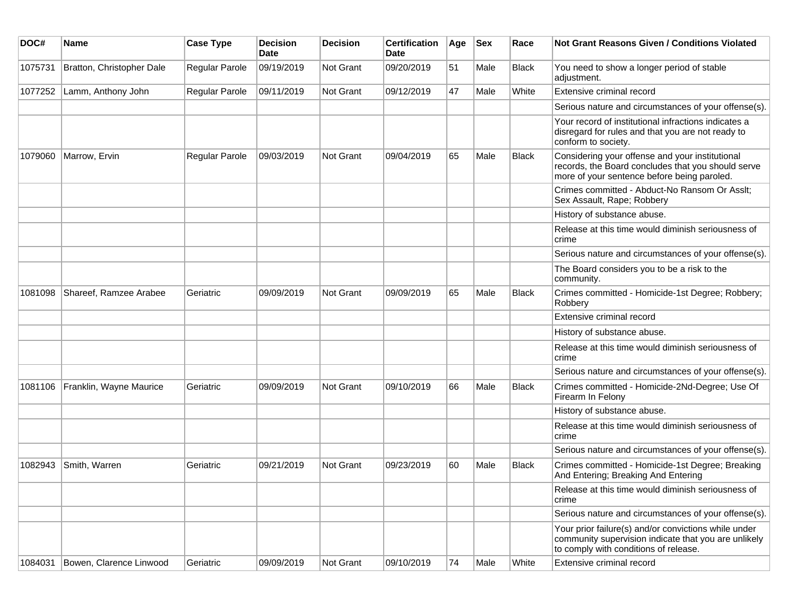| DOC#    | <b>Name</b>               | <b>Case Type</b> | Decision<br><b>Date</b> | <b>Decision</b>  | <b>Certification</b><br>Date | Age | <b>Sex</b> | Race         | <b>Not Grant Reasons Given / Conditions Violated</b>                                                                                                  |
|---------|---------------------------|------------------|-------------------------|------------------|------------------------------|-----|------------|--------------|-------------------------------------------------------------------------------------------------------------------------------------------------------|
| 1075731 | Bratton, Christopher Dale | Regular Parole   | 09/19/2019              | Not Grant        | 09/20/2019                   | 51  | Male       | Black        | You need to show a longer period of stable<br>adjustment.                                                                                             |
| 1077252 | Lamm, Anthony John        | Regular Parole   | 09/11/2019              | Not Grant        | 09/12/2019                   | 47  | Male       | White        | Extensive criminal record                                                                                                                             |
|         |                           |                  |                         |                  |                              |     |            |              | Serious nature and circumstances of your offense(s).                                                                                                  |
|         |                           |                  |                         |                  |                              |     |            |              | Your record of institutional infractions indicates a<br>disregard for rules and that you are not ready to<br>conform to society.                      |
| 1079060 | Marrow, Ervin             | Regular Parole   | 09/03/2019              | <b>Not Grant</b> | 09/04/2019                   | 65  | Male       | <b>Black</b> | Considering your offense and your institutional<br>records, the Board concludes that you should serve<br>more of your sentence before being paroled.  |
|         |                           |                  |                         |                  |                              |     |            |              | Crimes committed - Abduct-No Ransom Or Asslt;<br>Sex Assault, Rape; Robbery                                                                           |
|         |                           |                  |                         |                  |                              |     |            |              | History of substance abuse.                                                                                                                           |
|         |                           |                  |                         |                  |                              |     |            |              | Release at this time would diminish seriousness of<br>crime                                                                                           |
|         |                           |                  |                         |                  |                              |     |            |              | Serious nature and circumstances of your offense(s).                                                                                                  |
|         |                           |                  |                         |                  |                              |     |            |              | The Board considers you to be a risk to the<br>community.                                                                                             |
| 1081098 | Shareef, Ramzee Arabee    | Geriatric        | 09/09/2019              | Not Grant        | 09/09/2019                   | 65  | Male       | <b>Black</b> | Crimes committed - Homicide-1st Degree; Robbery;<br>Robbery                                                                                           |
|         |                           |                  |                         |                  |                              |     |            |              | Extensive criminal record                                                                                                                             |
|         |                           |                  |                         |                  |                              |     |            |              | History of substance abuse.                                                                                                                           |
|         |                           |                  |                         |                  |                              |     |            |              | Release at this time would diminish seriousness of<br>crime                                                                                           |
|         |                           |                  |                         |                  |                              |     |            |              | Serious nature and circumstances of your offense(s).                                                                                                  |
| 1081106 | Franklin, Wayne Maurice   | Geriatric        | 09/09/2019              | Not Grant        | 09/10/2019                   | 66  | Male       | <b>Black</b> | Crimes committed - Homicide-2Nd-Degree; Use Of<br>Firearm In Felony                                                                                   |
|         |                           |                  |                         |                  |                              |     |            |              | History of substance abuse.                                                                                                                           |
|         |                           |                  |                         |                  |                              |     |            |              | Release at this time would diminish seriousness of<br>crime                                                                                           |
|         |                           |                  |                         |                  |                              |     |            |              | Serious nature and circumstances of your offense(s).                                                                                                  |
| 1082943 | Smith, Warren             | Geriatric        | 09/21/2019              | Not Grant        | 09/23/2019                   | 60  | Male       | <b>Black</b> | Crimes committed - Homicide-1st Degree; Breaking<br>And Entering; Breaking And Entering                                                               |
|         |                           |                  |                         |                  |                              |     |            |              | Release at this time would diminish seriousness of<br>crime                                                                                           |
|         |                           |                  |                         |                  |                              |     |            |              | Serious nature and circumstances of your offense(s).                                                                                                  |
|         |                           |                  |                         |                  |                              |     |            |              | Your prior failure(s) and/or convictions while under<br>community supervision indicate that you are unlikely<br>to comply with conditions of release. |
| 1084031 | Bowen, Clarence Linwood   | Geriatric        | 09/09/2019              | Not Grant        | 09/10/2019                   | 74  | Male       | White        | Extensive criminal record                                                                                                                             |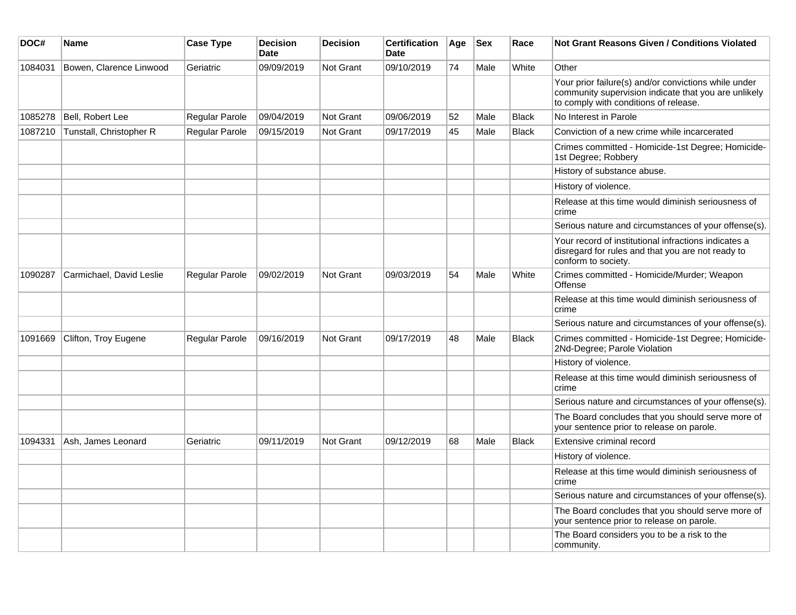| DOC#    | Name                     | <b>Case Type</b>      | <b>Decision</b><br><b>Date</b> | <b>Decision</b>  | <b>Certification</b><br>Date | Age | <b>Sex</b> | Race         | Not Grant Reasons Given / Conditions Violated                                                                                                         |
|---------|--------------------------|-----------------------|--------------------------------|------------------|------------------------------|-----|------------|--------------|-------------------------------------------------------------------------------------------------------------------------------------------------------|
| 1084031 | Bowen, Clarence Linwood  | Geriatric             | 09/09/2019                     | Not Grant        | 09/10/2019                   | 74  | Male       | White        | Other                                                                                                                                                 |
|         |                          |                       |                                |                  |                              |     |            |              | Your prior failure(s) and/or convictions while under<br>community supervision indicate that you are unlikely<br>to comply with conditions of release. |
| 1085278 | Bell, Robert Lee         | Regular Parole        | 09/04/2019                     | <b>Not Grant</b> | 09/06/2019                   | 52  | Male       | <b>Black</b> | No Interest in Parole                                                                                                                                 |
| 1087210 | Tunstall, Christopher R  | <b>Regular Parole</b> | 09/15/2019                     | Not Grant        | 09/17/2019                   | 45  | Male       | <b>Black</b> | Conviction of a new crime while incarcerated                                                                                                          |
|         |                          |                       |                                |                  |                              |     |            |              | Crimes committed - Homicide-1st Degree; Homicide-<br>1st Degree; Robbery                                                                              |
|         |                          |                       |                                |                  |                              |     |            |              | History of substance abuse.                                                                                                                           |
|         |                          |                       |                                |                  |                              |     |            |              | History of violence.                                                                                                                                  |
|         |                          |                       |                                |                  |                              |     |            |              | Release at this time would diminish seriousness of<br>crime                                                                                           |
|         |                          |                       |                                |                  |                              |     |            |              | Serious nature and circumstances of your offense(s).                                                                                                  |
|         |                          |                       |                                |                  |                              |     |            |              | Your record of institutional infractions indicates a<br>disregard for rules and that you are not ready to<br>conform to society.                      |
| 1090287 | Carmichael, David Leslie | <b>Regular Parole</b> | 09/02/2019                     | <b>Not Grant</b> | 09/03/2019                   | 54  | Male       | White        | Crimes committed - Homicide/Murder; Weapon<br>Offense                                                                                                 |
|         |                          |                       |                                |                  |                              |     |            |              | Release at this time would diminish seriousness of<br>crime                                                                                           |
|         |                          |                       |                                |                  |                              |     |            |              | Serious nature and circumstances of your offense(s).                                                                                                  |
| 1091669 | Clifton, Troy Eugene     | <b>Regular Parole</b> | 09/16/2019                     | <b>Not Grant</b> | 09/17/2019                   | 48  | Male       | <b>Black</b> | Crimes committed - Homicide-1st Degree; Homicide-<br>2Nd-Degree; Parole Violation                                                                     |
|         |                          |                       |                                |                  |                              |     |            |              | History of violence.                                                                                                                                  |
|         |                          |                       |                                |                  |                              |     |            |              | Release at this time would diminish seriousness of<br>crime                                                                                           |
|         |                          |                       |                                |                  |                              |     |            |              | Serious nature and circumstances of your offense(s).                                                                                                  |
|         |                          |                       |                                |                  |                              |     |            |              | The Board concludes that you should serve more of<br>your sentence prior to release on parole.                                                        |
| 1094331 | Ash, James Leonard       | Geriatric             | 09/11/2019                     | Not Grant        | 09/12/2019                   | 68  | Male       | <b>Black</b> | Extensive criminal record                                                                                                                             |
|         |                          |                       |                                |                  |                              |     |            |              | History of violence.                                                                                                                                  |
|         |                          |                       |                                |                  |                              |     |            |              | Release at this time would diminish seriousness of<br>crime                                                                                           |
|         |                          |                       |                                |                  |                              |     |            |              | Serious nature and circumstances of your offense(s).                                                                                                  |
|         |                          |                       |                                |                  |                              |     |            |              | The Board concludes that you should serve more of<br>your sentence prior to release on parole.                                                        |
|         |                          |                       |                                |                  |                              |     |            |              | The Board considers you to be a risk to the<br>community.                                                                                             |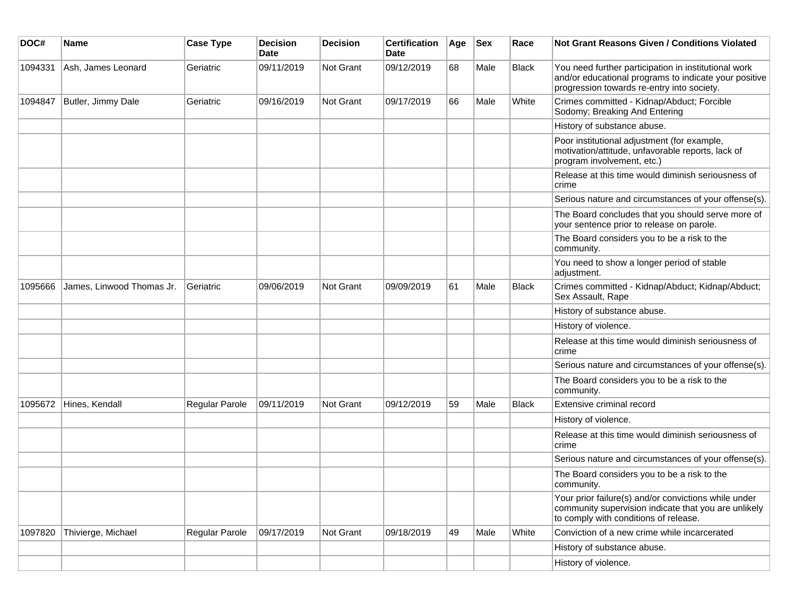| DOC#    | <b>Name</b>               | <b>Case Type</b> | <b>Decision</b><br><b>Date</b> | <b>Decision</b>  | <b>Certification</b><br>Date | Age | <b>Sex</b> | Race         | <b>Not Grant Reasons Given / Conditions Violated</b>                                                                                                        |
|---------|---------------------------|------------------|--------------------------------|------------------|------------------------------|-----|------------|--------------|-------------------------------------------------------------------------------------------------------------------------------------------------------------|
| 1094331 | Ash, James Leonard        | Geriatric        | 09/11/2019                     | Not Grant        | 09/12/2019                   | 68  | Male       | Black        | You need further participation in institutional work<br>and/or educational programs to indicate your positive<br>progression towards re-entry into society. |
| 1094847 | Butler, Jimmy Dale        | Geriatric        | 09/16/2019                     | Not Grant        | 09/17/2019                   | 66  | Male       | White        | Crimes committed - Kidnap/Abduct; Forcible<br>Sodomy; Breaking And Entering                                                                                 |
|         |                           |                  |                                |                  |                              |     |            |              | History of substance abuse.                                                                                                                                 |
|         |                           |                  |                                |                  |                              |     |            |              | Poor institutional adjustment (for example,<br>motivation/attitude, unfavorable reports, lack of<br>program involvement, etc.)                              |
|         |                           |                  |                                |                  |                              |     |            |              | Release at this time would diminish seriousness of<br>crime                                                                                                 |
|         |                           |                  |                                |                  |                              |     |            |              | Serious nature and circumstances of your offense(s).                                                                                                        |
|         |                           |                  |                                |                  |                              |     |            |              | The Board concludes that you should serve more of<br>your sentence prior to release on parole.                                                              |
|         |                           |                  |                                |                  |                              |     |            |              | The Board considers you to be a risk to the<br>community.                                                                                                   |
|         |                           |                  |                                |                  |                              |     |            |              | You need to show a longer period of stable<br>adjustment.                                                                                                   |
| 1095666 | James, Linwood Thomas Jr. | Geriatric        | 09/06/2019                     | <b>Not Grant</b> | 09/09/2019                   | 61  | Male       | <b>Black</b> | Crimes committed - Kidnap/Abduct; Kidnap/Abduct;<br>Sex Assault, Rape                                                                                       |
|         |                           |                  |                                |                  |                              |     |            |              | History of substance abuse.                                                                                                                                 |
|         |                           |                  |                                |                  |                              |     |            |              | History of violence.                                                                                                                                        |
|         |                           |                  |                                |                  |                              |     |            |              | Release at this time would diminish seriousness of<br>crime                                                                                                 |
|         |                           |                  |                                |                  |                              |     |            |              | Serious nature and circumstances of your offense(s).                                                                                                        |
|         |                           |                  |                                |                  |                              |     |            |              | The Board considers you to be a risk to the<br>community.                                                                                                   |
| 1095672 | Hines, Kendall            | Regular Parole   | 09/11/2019                     | <b>Not Grant</b> | 09/12/2019                   | 59  | Male       | <b>Black</b> | Extensive criminal record                                                                                                                                   |
|         |                           |                  |                                |                  |                              |     |            |              | History of violence.                                                                                                                                        |
|         |                           |                  |                                |                  |                              |     |            |              | Release at this time would diminish seriousness of<br>crime                                                                                                 |
|         |                           |                  |                                |                  |                              |     |            |              | Serious nature and circumstances of your offense(s).                                                                                                        |
|         |                           |                  |                                |                  |                              |     |            |              | The Board considers you to be a risk to the<br>community.                                                                                                   |
|         |                           |                  |                                |                  |                              |     |            |              | Your prior failure(s) and/or convictions while under<br>community supervision indicate that you are unlikely<br>to comply with conditions of release.       |
| 1097820 | Thivierge, Michael        | Regular Parole   | 09/17/2019                     | Not Grant        | 09/18/2019                   | 49  | Male       | White        | Conviction of a new crime while incarcerated                                                                                                                |
|         |                           |                  |                                |                  |                              |     |            |              | History of substance abuse.                                                                                                                                 |
|         |                           |                  |                                |                  |                              |     |            |              | History of violence.                                                                                                                                        |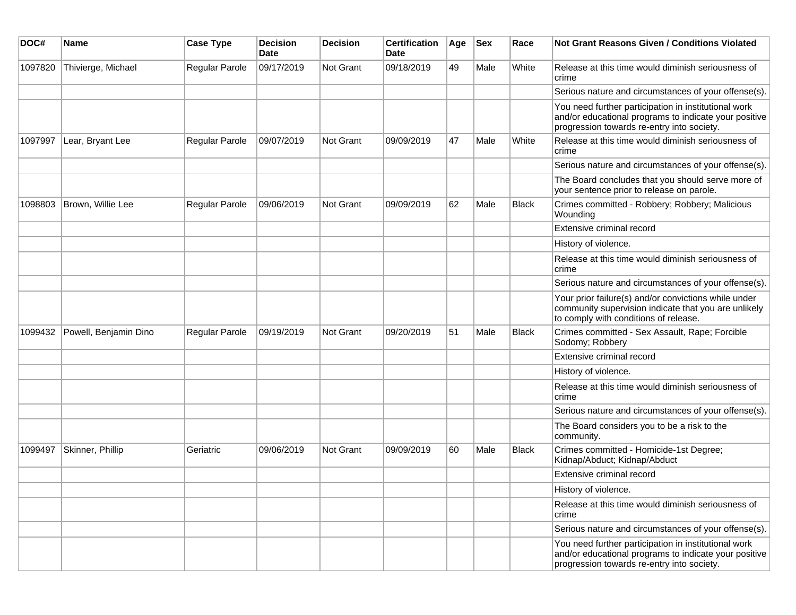| DOC#    | <b>Name</b>           | <b>Case Type</b> | <b>Decision</b><br>Date | <b>Decision</b> | <b>Certification</b><br>Date | Age | <b>Sex</b> | Race         | Not Grant Reasons Given / Conditions Violated                                                                                                               |
|---------|-----------------------|------------------|-------------------------|-----------------|------------------------------|-----|------------|--------------|-------------------------------------------------------------------------------------------------------------------------------------------------------------|
| 1097820 | Thivierge, Michael    | Regular Parole   | 09/17/2019              | Not Grant       | 09/18/2019                   | 49  | Male       | White        | Release at this time would diminish seriousness of<br>crime                                                                                                 |
|         |                       |                  |                         |                 |                              |     |            |              | Serious nature and circumstances of your offense(s).                                                                                                        |
|         |                       |                  |                         |                 |                              |     |            |              | You need further participation in institutional work<br>and/or educational programs to indicate your positive<br>progression towards re-entry into society. |
| 1097997 | Lear, Bryant Lee      | Regular Parole   | 09/07/2019              | Not Grant       | 09/09/2019                   | 47  | Male       | White        | Release at this time would diminish seriousness of<br>crime                                                                                                 |
|         |                       |                  |                         |                 |                              |     |            |              | Serious nature and circumstances of your offense(s).                                                                                                        |
|         |                       |                  |                         |                 |                              |     |            |              | The Board concludes that you should serve more of<br>your sentence prior to release on parole.                                                              |
| 1098803 | Brown, Willie Lee     | Regular Parole   | 09/06/2019              | Not Grant       | 09/09/2019                   | 62  | Male       | <b>Black</b> | Crimes committed - Robbery; Robbery; Malicious<br>Wounding                                                                                                  |
|         |                       |                  |                         |                 |                              |     |            |              | Extensive criminal record                                                                                                                                   |
|         |                       |                  |                         |                 |                              |     |            |              | History of violence.                                                                                                                                        |
|         |                       |                  |                         |                 |                              |     |            |              | Release at this time would diminish seriousness of<br>crime                                                                                                 |
|         |                       |                  |                         |                 |                              |     |            |              | Serious nature and circumstances of your offense(s).                                                                                                        |
|         |                       |                  |                         |                 |                              |     |            |              | Your prior failure(s) and/or convictions while under<br>community supervision indicate that you are unlikely<br>to comply with conditions of release.       |
| 1099432 | Powell, Benjamin Dino | Regular Parole   | 09/19/2019              | Not Grant       | 09/20/2019                   | 51  | Male       | <b>Black</b> | Crimes committed - Sex Assault, Rape; Forcible<br>Sodomy; Robbery                                                                                           |
|         |                       |                  |                         |                 |                              |     |            |              | Extensive criminal record                                                                                                                                   |
|         |                       |                  |                         |                 |                              |     |            |              | History of violence.                                                                                                                                        |
|         |                       |                  |                         |                 |                              |     |            |              | Release at this time would diminish seriousness of<br>crime                                                                                                 |
|         |                       |                  |                         |                 |                              |     |            |              | Serious nature and circumstances of your offense(s).                                                                                                        |
|         |                       |                  |                         |                 |                              |     |            |              | The Board considers you to be a risk to the<br>community.                                                                                                   |
| 1099497 | Skinner, Phillip      | Geriatric        | 09/06/2019              | Not Grant       | 09/09/2019                   | 60  | Male       | <b>Black</b> | Crimes committed - Homicide-1st Degree;<br>Kidnap/Abduct; Kidnap/Abduct                                                                                     |
|         |                       |                  |                         |                 |                              |     |            |              | Extensive criminal record                                                                                                                                   |
|         |                       |                  |                         |                 |                              |     |            |              | History of violence.                                                                                                                                        |
|         |                       |                  |                         |                 |                              |     |            |              | Release at this time would diminish seriousness of<br>crime                                                                                                 |
|         |                       |                  |                         |                 |                              |     |            |              | Serious nature and circumstances of your offense(s).                                                                                                        |
|         |                       |                  |                         |                 |                              |     |            |              | You need further participation in institutional work<br>and/or educational programs to indicate your positive<br>progression towards re-entry into society. |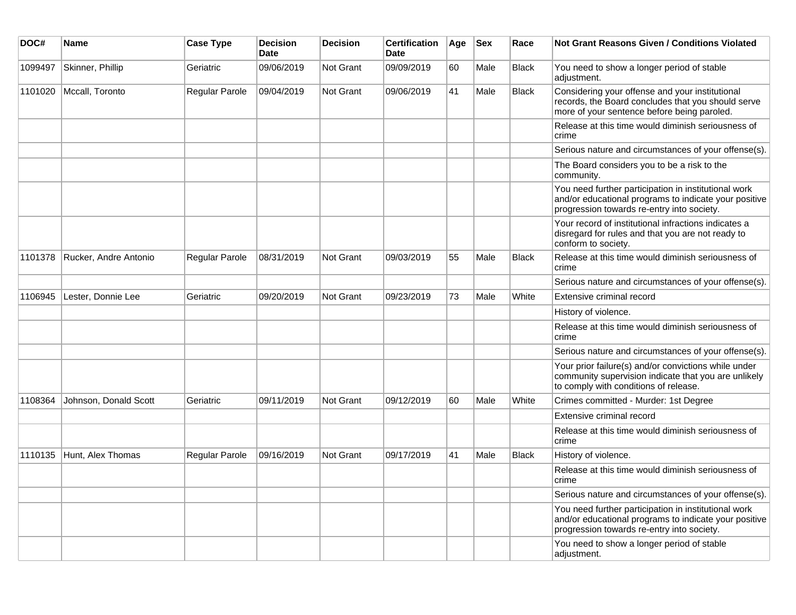| DOC#    | <b>Name</b>           | <b>Case Type</b> | <b>Decision</b><br><b>Date</b> | <b>Decision</b>  | <b>Certification</b><br><b>Date</b> | Age | <b>Sex</b> | Race         | <b>Not Grant Reasons Given / Conditions Violated</b>                                                                                                        |
|---------|-----------------------|------------------|--------------------------------|------------------|-------------------------------------|-----|------------|--------------|-------------------------------------------------------------------------------------------------------------------------------------------------------------|
| 1099497 | Skinner, Phillip      | Geriatric        | 09/06/2019                     | Not Grant        | 09/09/2019                          | 60  | Male       | <b>Black</b> | You need to show a longer period of stable<br>adjustment.                                                                                                   |
| 1101020 | Mccall, Toronto       | Regular Parole   | 09/04/2019                     | Not Grant        | 09/06/2019                          | 41  | Male       | <b>Black</b> | Considering your offense and your institutional<br>records, the Board concludes that you should serve<br>more of your sentence before being paroled.        |
|         |                       |                  |                                |                  |                                     |     |            |              | Release at this time would diminish seriousness of<br>crime                                                                                                 |
|         |                       |                  |                                |                  |                                     |     |            |              | Serious nature and circumstances of your offense(s).                                                                                                        |
|         |                       |                  |                                |                  |                                     |     |            |              | The Board considers you to be a risk to the<br>community.                                                                                                   |
|         |                       |                  |                                |                  |                                     |     |            |              | You need further participation in institutional work<br>and/or educational programs to indicate your positive<br>progression towards re-entry into society. |
|         |                       |                  |                                |                  |                                     |     |            |              | Your record of institutional infractions indicates a<br>disregard for rules and that you are not ready to<br>conform to society.                            |
| 1101378 | Rucker, Andre Antonio | Regular Parole   | 08/31/2019                     | <b>Not Grant</b> | 09/03/2019                          | 55  | Male       | <b>Black</b> | Release at this time would diminish seriousness of<br>crime                                                                                                 |
|         |                       |                  |                                |                  |                                     |     |            |              | Serious nature and circumstances of your offense(s).                                                                                                        |
| 1106945 | Lester, Donnie Lee    | Geriatric        | 09/20/2019                     | <b>Not Grant</b> | 09/23/2019                          | 73  | Male       | White        | Extensive criminal record                                                                                                                                   |
|         |                       |                  |                                |                  |                                     |     |            |              | History of violence.                                                                                                                                        |
|         |                       |                  |                                |                  |                                     |     |            |              | Release at this time would diminish seriousness of<br>crime                                                                                                 |
|         |                       |                  |                                |                  |                                     |     |            |              | Serious nature and circumstances of your offense(s).                                                                                                        |
|         |                       |                  |                                |                  |                                     |     |            |              | Your prior failure(s) and/or convictions while under<br>community supervision indicate that you are unlikely<br>to comply with conditions of release.       |
| 1108364 | Johnson, Donald Scott | Geriatric        | 09/11/2019                     | <b>Not Grant</b> | 09/12/2019                          | 60  | Male       | White        | Crimes committed - Murder: 1st Degree                                                                                                                       |
|         |                       |                  |                                |                  |                                     |     |            |              | Extensive criminal record                                                                                                                                   |
|         |                       |                  |                                |                  |                                     |     |            |              | Release at this time would diminish seriousness of<br>crime                                                                                                 |
| 1110135 | Hunt, Alex Thomas     | Regular Parole   | 09/16/2019                     | <b>Not Grant</b> | 09/17/2019                          | 41  | Male       | <b>Black</b> | History of violence.                                                                                                                                        |
|         |                       |                  |                                |                  |                                     |     |            |              | Release at this time would diminish seriousness of<br>crime                                                                                                 |
|         |                       |                  |                                |                  |                                     |     |            |              | Serious nature and circumstances of your offense(s).                                                                                                        |
|         |                       |                  |                                |                  |                                     |     |            |              | You need further participation in institutional work<br>and/or educational programs to indicate your positive<br>progression towards re-entry into society. |
|         |                       |                  |                                |                  |                                     |     |            |              | You need to show a longer period of stable<br>adjustment.                                                                                                   |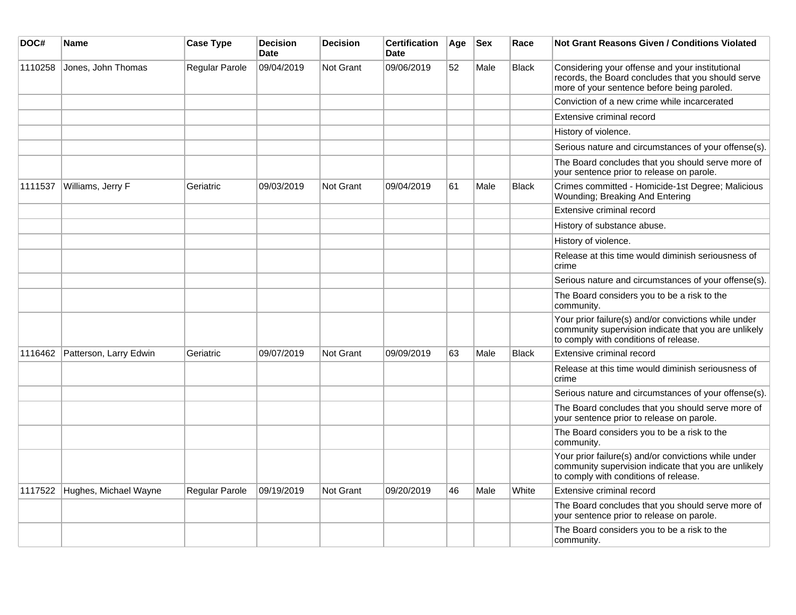| DOC#    | Name                   | <b>Case Type</b> | <b>Decision</b><br><b>Date</b> | <b>Decision</b>  | <b>Certification</b><br><b>Date</b> | Age | <b>Sex</b> | Race         | <b>Not Grant Reasons Given / Conditions Violated</b>                                                                                                  |
|---------|------------------------|------------------|--------------------------------|------------------|-------------------------------------|-----|------------|--------------|-------------------------------------------------------------------------------------------------------------------------------------------------------|
| 1110258 | Jones, John Thomas     | Regular Parole   | 09/04/2019                     | Not Grant        | 09/06/2019                          | 52  | Male       | <b>Black</b> | Considering your offense and your institutional<br>records, the Board concludes that you should serve<br>more of your sentence before being paroled.  |
|         |                        |                  |                                |                  |                                     |     |            |              | Conviction of a new crime while incarcerated                                                                                                          |
|         |                        |                  |                                |                  |                                     |     |            |              | Extensive criminal record                                                                                                                             |
|         |                        |                  |                                |                  |                                     |     |            |              | History of violence.                                                                                                                                  |
|         |                        |                  |                                |                  |                                     |     |            |              | Serious nature and circumstances of your offense(s).                                                                                                  |
|         |                        |                  |                                |                  |                                     |     |            |              | The Board concludes that you should serve more of<br>your sentence prior to release on parole.                                                        |
| 1111537 | Williams, Jerry F      | Geriatric        | 09/03/2019                     | <b>Not Grant</b> | 09/04/2019                          | 61  | Male       | <b>Black</b> | Crimes committed - Homicide-1st Degree; Malicious<br>Wounding; Breaking And Entering                                                                  |
|         |                        |                  |                                |                  |                                     |     |            |              | Extensive criminal record                                                                                                                             |
|         |                        |                  |                                |                  |                                     |     |            |              | History of substance abuse.                                                                                                                           |
|         |                        |                  |                                |                  |                                     |     |            |              | History of violence.                                                                                                                                  |
|         |                        |                  |                                |                  |                                     |     |            |              | Release at this time would diminish seriousness of<br>crime                                                                                           |
|         |                        |                  |                                |                  |                                     |     |            |              | Serious nature and circumstances of your offense(s).                                                                                                  |
|         |                        |                  |                                |                  |                                     |     |            |              | The Board considers you to be a risk to the<br>community.                                                                                             |
|         |                        |                  |                                |                  |                                     |     |            |              | Your prior failure(s) and/or convictions while under<br>community supervision indicate that you are unlikely<br>to comply with conditions of release. |
| 1116462 | Patterson, Larry Edwin | Geriatric        | 09/07/2019                     | Not Grant        | 09/09/2019                          | 63  | Male       | <b>Black</b> | Extensive criminal record                                                                                                                             |
|         |                        |                  |                                |                  |                                     |     |            |              | Release at this time would diminish seriousness of<br>crime                                                                                           |
|         |                        |                  |                                |                  |                                     |     |            |              | Serious nature and circumstances of your offense(s).                                                                                                  |
|         |                        |                  |                                |                  |                                     |     |            |              | The Board concludes that you should serve more of<br>your sentence prior to release on parole.                                                        |
|         |                        |                  |                                |                  |                                     |     |            |              | The Board considers you to be a risk to the<br>community.                                                                                             |
|         |                        |                  |                                |                  |                                     |     |            |              | Your prior failure(s) and/or convictions while under<br>community supervision indicate that you are unlikely<br>to comply with conditions of release. |
| 1117522 | Hughes, Michael Wayne  | Regular Parole   | 09/19/2019                     | <b>Not Grant</b> | 09/20/2019                          | 46  | Male       | White        | Extensive criminal record                                                                                                                             |
|         |                        |                  |                                |                  |                                     |     |            |              | The Board concludes that you should serve more of<br>your sentence prior to release on parole.                                                        |
|         |                        |                  |                                |                  |                                     |     |            |              | The Board considers you to be a risk to the<br>community.                                                                                             |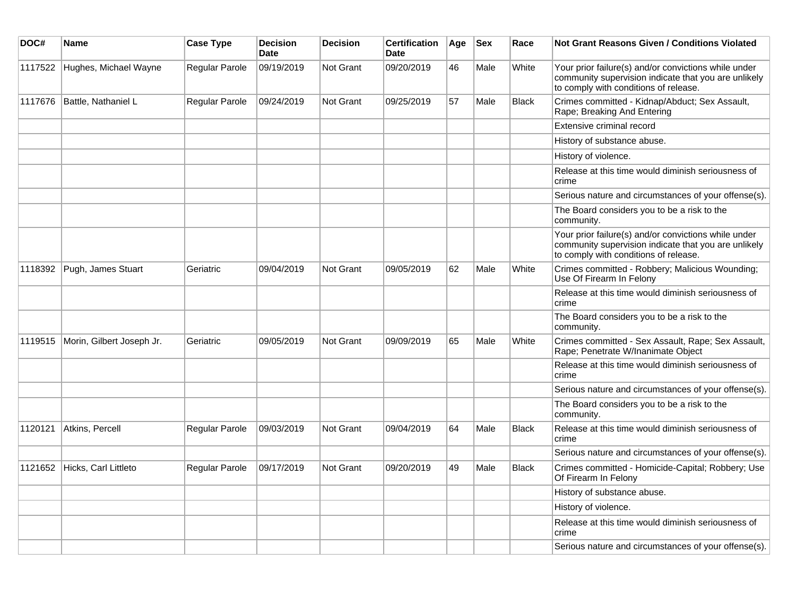| DOC#    | Name                      | <b>Case Type</b>      | <b>Decision</b><br><b>Date</b> | <b>Decision</b> | <b>Certification</b><br><b>Date</b> | Age | <b>Sex</b> | Race         | Not Grant Reasons Given / Conditions Violated                                                                                                         |
|---------|---------------------------|-----------------------|--------------------------------|-----------------|-------------------------------------|-----|------------|--------------|-------------------------------------------------------------------------------------------------------------------------------------------------------|
| 1117522 | Hughes, Michael Wayne     | Regular Parole        | 09/19/2019                     | Not Grant       | 09/20/2019                          | 46  | Male       | White        | Your prior failure(s) and/or convictions while under<br>community supervision indicate that you are unlikely<br>to comply with conditions of release. |
| 1117676 | Battle, Nathaniel L       | Regular Parole        | 09/24/2019                     | Not Grant       | 09/25/2019                          | 57  | Male       | <b>Black</b> | Crimes committed - Kidnap/Abduct; Sex Assault,<br>Rape; Breaking And Entering                                                                         |
|         |                           |                       |                                |                 |                                     |     |            |              | Extensive criminal record                                                                                                                             |
|         |                           |                       |                                |                 |                                     |     |            |              | History of substance abuse.                                                                                                                           |
|         |                           |                       |                                |                 |                                     |     |            |              | History of violence.                                                                                                                                  |
|         |                           |                       |                                |                 |                                     |     |            |              | Release at this time would diminish seriousness of<br>crime                                                                                           |
|         |                           |                       |                                |                 |                                     |     |            |              | Serious nature and circumstances of your offense(s).                                                                                                  |
|         |                           |                       |                                |                 |                                     |     |            |              | The Board considers you to be a risk to the<br>community.                                                                                             |
|         |                           |                       |                                |                 |                                     |     |            |              | Your prior failure(s) and/or convictions while under<br>community supervision indicate that you are unlikely<br>to comply with conditions of release. |
| 1118392 | Pugh, James Stuart        | Geriatric             | 09/04/2019                     | Not Grant       | 09/05/2019                          | 62  | Male       | White        | Crimes committed - Robbery; Malicious Wounding;<br>Use Of Firearm In Felony                                                                           |
|         |                           |                       |                                |                 |                                     |     |            |              | Release at this time would diminish seriousness of<br>crime                                                                                           |
|         |                           |                       |                                |                 |                                     |     |            |              | The Board considers you to be a risk to the<br>community.                                                                                             |
| 1119515 | Morin, Gilbert Joseph Jr. | Geriatric             | 09/05/2019                     | Not Grant       | 09/09/2019                          | 65  | Male       | White        | Crimes committed - Sex Assault, Rape; Sex Assault,<br>Rape; Penetrate W/Inanimate Object                                                              |
|         |                           |                       |                                |                 |                                     |     |            |              | Release at this time would diminish seriousness of<br>crime                                                                                           |
|         |                           |                       |                                |                 |                                     |     |            |              | Serious nature and circumstances of your offense(s).                                                                                                  |
|         |                           |                       |                                |                 |                                     |     |            |              | The Board considers you to be a risk to the<br>community.                                                                                             |
| 1120121 | Atkins, Percell           | <b>Regular Parole</b> | 09/03/2019                     | Not Grant       | 09/04/2019                          | 64  | Male       | <b>Black</b> | Release at this time would diminish seriousness of<br>crime                                                                                           |
|         |                           |                       |                                |                 |                                     |     |            |              | Serious nature and circumstances of your offense(s).                                                                                                  |
| 1121652 | Hicks, Carl Littleto      | Regular Parole        | 09/17/2019                     | Not Grant       | 09/20/2019                          | 49  | Male       | <b>Black</b> | Crimes committed - Homicide-Capital; Robbery; Use<br>Of Firearm In Felony                                                                             |
|         |                           |                       |                                |                 |                                     |     |            |              | History of substance abuse.                                                                                                                           |
|         |                           |                       |                                |                 |                                     |     |            |              | History of violence.                                                                                                                                  |
|         |                           |                       |                                |                 |                                     |     |            |              | Release at this time would diminish seriousness of<br>crime                                                                                           |
|         |                           |                       |                                |                 |                                     |     |            |              | Serious nature and circumstances of your offense(s).                                                                                                  |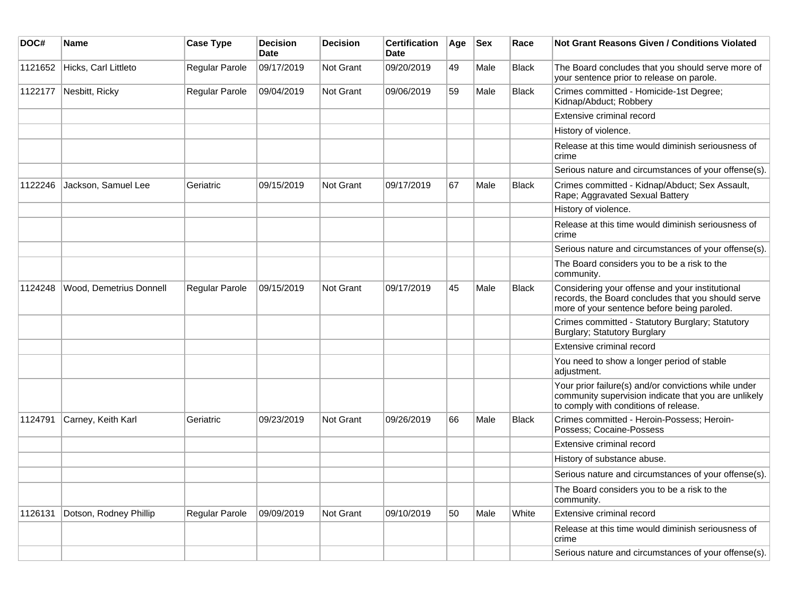| DOC#    | <b>Name</b>             | <b>Case Type</b> | <b>Decision</b><br><b>Date</b> | <b>Decision</b>  | <b>Certification</b><br><b>Date</b> | Age | <b>Sex</b> | Race         | <b>Not Grant Reasons Given / Conditions Violated</b>                                                                                                  |
|---------|-------------------------|------------------|--------------------------------|------------------|-------------------------------------|-----|------------|--------------|-------------------------------------------------------------------------------------------------------------------------------------------------------|
| 1121652 | Hicks, Carl Littleto    | Regular Parole   | 09/17/2019                     | Not Grant        | 09/20/2019                          | 49  | Male       | <b>Black</b> | The Board concludes that you should serve more of<br>your sentence prior to release on parole.                                                        |
| 1122177 | Nesbitt, Ricky          | Regular Parole   | 09/04/2019                     | Not Grant        | 09/06/2019                          | 59  | Male       | <b>Black</b> | Crimes committed - Homicide-1st Degree;<br>Kidnap/Abduct; Robbery                                                                                     |
|         |                         |                  |                                |                  |                                     |     |            |              | Extensive criminal record                                                                                                                             |
|         |                         |                  |                                |                  |                                     |     |            |              | History of violence.                                                                                                                                  |
|         |                         |                  |                                |                  |                                     |     |            |              | Release at this time would diminish seriousness of<br>crime                                                                                           |
|         |                         |                  |                                |                  |                                     |     |            |              | Serious nature and circumstances of your offense(s).                                                                                                  |
| 1122246 | Jackson, Samuel Lee     | Geriatric        | 09/15/2019                     | <b>Not Grant</b> | 09/17/2019                          | 67  | Male       | <b>Black</b> | Crimes committed - Kidnap/Abduct; Sex Assault,<br>Rape; Aggravated Sexual Battery                                                                     |
|         |                         |                  |                                |                  |                                     |     |            |              | History of violence.                                                                                                                                  |
|         |                         |                  |                                |                  |                                     |     |            |              | Release at this time would diminish seriousness of<br>crime                                                                                           |
|         |                         |                  |                                |                  |                                     |     |            |              | Serious nature and circumstances of your offense(s).                                                                                                  |
|         |                         |                  |                                |                  |                                     |     |            |              | The Board considers you to be a risk to the<br>community.                                                                                             |
| 1124248 | Wood, Demetrius Donnell | Regular Parole   | 09/15/2019                     | <b>Not Grant</b> | 09/17/2019                          | 45  | Male       | <b>Black</b> | Considering your offense and your institutional<br>records, the Board concludes that you should serve<br>more of your sentence before being paroled.  |
|         |                         |                  |                                |                  |                                     |     |            |              | Crimes committed - Statutory Burglary; Statutory<br>Burglary; Statutory Burglary                                                                      |
|         |                         |                  |                                |                  |                                     |     |            |              | Extensive criminal record                                                                                                                             |
|         |                         |                  |                                |                  |                                     |     |            |              | You need to show a longer period of stable<br>adjustment.                                                                                             |
|         |                         |                  |                                |                  |                                     |     |            |              | Your prior failure(s) and/or convictions while under<br>community supervision indicate that you are unlikely<br>to comply with conditions of release. |
| 1124791 | Carney, Keith Karl      | Geriatric        | 09/23/2019                     | Not Grant        | 09/26/2019                          | 66  | Male       | <b>Black</b> | Crimes committed - Heroin-Possess; Heroin-<br>Possess: Cocaine-Possess                                                                                |
|         |                         |                  |                                |                  |                                     |     |            |              | Extensive criminal record                                                                                                                             |
|         |                         |                  |                                |                  |                                     |     |            |              | History of substance abuse.                                                                                                                           |
|         |                         |                  |                                |                  |                                     |     |            |              | Serious nature and circumstances of your offense(s).                                                                                                  |
|         |                         |                  |                                |                  |                                     |     |            |              | The Board considers you to be a risk to the<br>community.                                                                                             |
| 1126131 | Dotson, Rodney Phillip  | Regular Parole   | 09/09/2019                     | <b>Not Grant</b> | 09/10/2019                          | 50  | Male       | White        | Extensive criminal record                                                                                                                             |
|         |                         |                  |                                |                  |                                     |     |            |              | Release at this time would diminish seriousness of<br>crime                                                                                           |
|         |                         |                  |                                |                  |                                     |     |            |              | Serious nature and circumstances of your offense(s).                                                                                                  |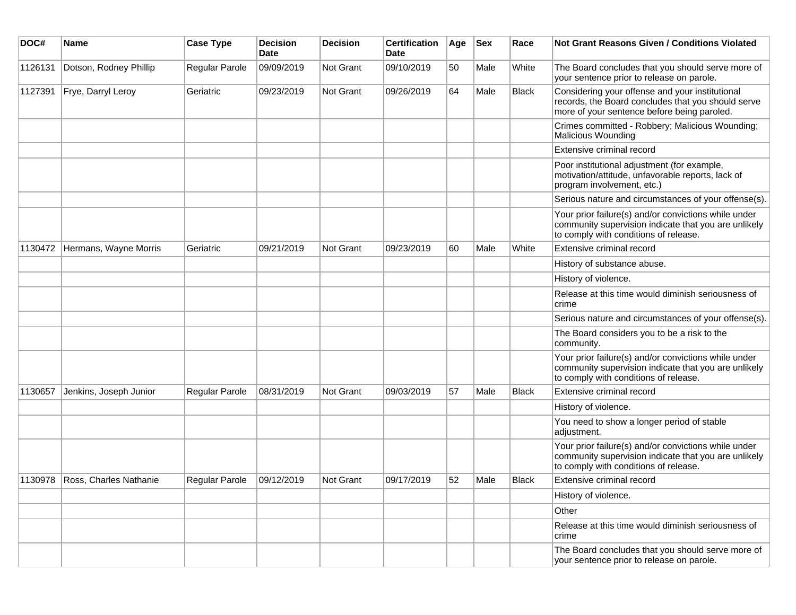| DOC#    | <b>Name</b>                    | <b>Case Type</b> | <b>Decision</b><br>Date | <b>Decision</b> | <b>Certification</b><br><b>Date</b> | Age | <b>Sex</b> | Race         | Not Grant Reasons Given / Conditions Violated                                                                                                         |
|---------|--------------------------------|------------------|-------------------------|-----------------|-------------------------------------|-----|------------|--------------|-------------------------------------------------------------------------------------------------------------------------------------------------------|
| 1126131 | Dotson, Rodney Phillip         | Regular Parole   | 09/09/2019              | Not Grant       | 09/10/2019                          | 50  | Male       | White        | The Board concludes that you should serve more of<br>your sentence prior to release on parole.                                                        |
| 1127391 | Frye, Darryl Leroy             | Geriatric        | 09/23/2019              | Not Grant       | 09/26/2019                          | 64  | Male       | <b>Black</b> | Considering your offense and your institutional<br>records, the Board concludes that you should serve<br>more of your sentence before being paroled.  |
|         |                                |                  |                         |                 |                                     |     |            |              | Crimes committed - Robbery; Malicious Wounding;<br><b>Malicious Wounding</b>                                                                          |
|         |                                |                  |                         |                 |                                     |     |            |              | Extensive criminal record                                                                                                                             |
|         |                                |                  |                         |                 |                                     |     |            |              | Poor institutional adjustment (for example,<br>motivation/attitude, unfavorable reports, lack of<br>program involvement, etc.)                        |
|         |                                |                  |                         |                 |                                     |     |            |              | Serious nature and circumstances of your offense(s).                                                                                                  |
|         |                                |                  |                         |                 |                                     |     |            |              | Your prior failure(s) and/or convictions while under<br>community supervision indicate that you are unlikely<br>to comply with conditions of release. |
| 1130472 | Hermans, Wayne Morris          | Geriatric        | 09/21/2019              | Not Grant       | 09/23/2019                          | 60  | Male       | White        | Extensive criminal record                                                                                                                             |
|         |                                |                  |                         |                 |                                     |     |            |              | History of substance abuse.                                                                                                                           |
|         |                                |                  |                         |                 |                                     |     |            |              | History of violence.                                                                                                                                  |
|         |                                |                  |                         |                 |                                     |     |            |              | Release at this time would diminish seriousness of<br>crime                                                                                           |
|         |                                |                  |                         |                 |                                     |     |            |              | Serious nature and circumstances of your offense(s).                                                                                                  |
|         |                                |                  |                         |                 |                                     |     |            |              | The Board considers you to be a risk to the<br>community.                                                                                             |
|         |                                |                  |                         |                 |                                     |     |            |              | Your prior failure(s) and/or convictions while under<br>community supervision indicate that you are unlikely<br>to comply with conditions of release. |
| 1130657 | Jenkins, Joseph Junior         | Regular Parole   | 08/31/2019              | Not Grant       | 09/03/2019                          | 57  | Male       | <b>Black</b> | Extensive criminal record                                                                                                                             |
|         |                                |                  |                         |                 |                                     |     |            |              | History of violence.                                                                                                                                  |
|         |                                |                  |                         |                 |                                     |     |            |              | You need to show a longer period of stable<br>adjustment.                                                                                             |
|         |                                |                  |                         |                 |                                     |     |            |              | Your prior failure(s) and/or convictions while under<br>community supervision indicate that you are unlikely<br>to comply with conditions of release. |
|         | 1130978 Ross, Charles Nathanie | Regular Parole   | 09/12/2019              | Not Grant       | 09/17/2019                          | 52  | Male       | Black        | Extensive criminal record                                                                                                                             |
|         |                                |                  |                         |                 |                                     |     |            |              | History of violence.                                                                                                                                  |
|         |                                |                  |                         |                 |                                     |     |            |              | Other                                                                                                                                                 |
|         |                                |                  |                         |                 |                                     |     |            |              | Release at this time would diminish seriousness of<br>crime                                                                                           |
|         |                                |                  |                         |                 |                                     |     |            |              | The Board concludes that you should serve more of<br>your sentence prior to release on parole.                                                        |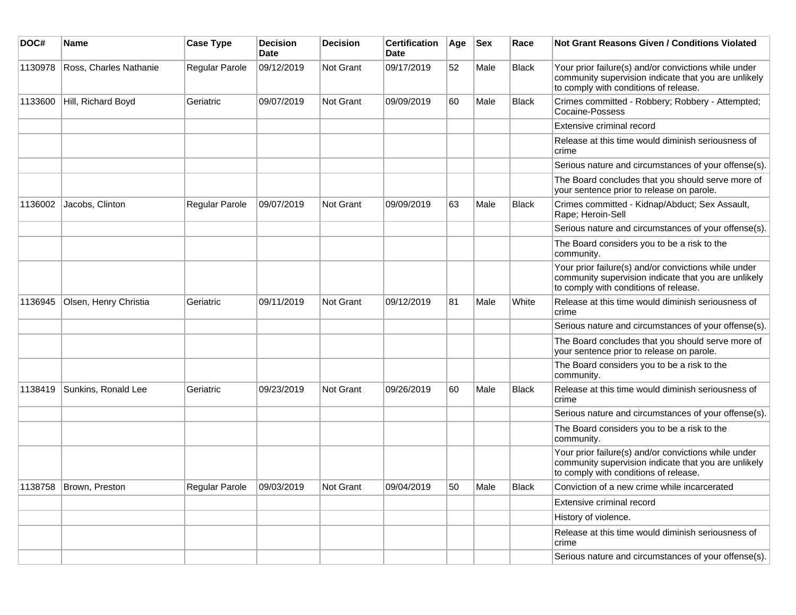| DOC#    | <b>Name</b>            | <b>Case Type</b> | <b>Decision</b><br><b>Date</b> | <b>Decision</b> | <b>Certification</b><br>Date | Age | <b>Sex</b> | Race         | Not Grant Reasons Given / Conditions Violated                                                                                                         |
|---------|------------------------|------------------|--------------------------------|-----------------|------------------------------|-----|------------|--------------|-------------------------------------------------------------------------------------------------------------------------------------------------------|
| 1130978 | Ross, Charles Nathanie | Regular Parole   | 09/12/2019                     | Not Grant       | 09/17/2019                   | 52  | Male       | <b>Black</b> | Your prior failure(s) and/or convictions while under<br>community supervision indicate that you are unlikely<br>to comply with conditions of release. |
| 1133600 | Hill, Richard Boyd     | Geriatric        | 09/07/2019                     | Not Grant       | 09/09/2019                   | 60  | Male       | <b>Black</b> | Crimes committed - Robbery; Robbery - Attempted;<br>Cocaine-Possess                                                                                   |
|         |                        |                  |                                |                 |                              |     |            |              | Extensive criminal record                                                                                                                             |
|         |                        |                  |                                |                 |                              |     |            |              | Release at this time would diminish seriousness of<br>crime                                                                                           |
|         |                        |                  |                                |                 |                              |     |            |              | Serious nature and circumstances of your offense(s).                                                                                                  |
|         |                        |                  |                                |                 |                              |     |            |              | The Board concludes that you should serve more of<br>your sentence prior to release on parole.                                                        |
| 1136002 | Jacobs, Clinton        | Regular Parole   | 09/07/2019                     | Not Grant       | 09/09/2019                   | 63  | Male       | Black        | Crimes committed - Kidnap/Abduct; Sex Assault,<br>Rape; Heroin-Sell                                                                                   |
|         |                        |                  |                                |                 |                              |     |            |              | Serious nature and circumstances of your offense(s).                                                                                                  |
|         |                        |                  |                                |                 |                              |     |            |              | The Board considers you to be a risk to the<br>community.                                                                                             |
|         |                        |                  |                                |                 |                              |     |            |              | Your prior failure(s) and/or convictions while under<br>community supervision indicate that you are unlikely<br>to comply with conditions of release. |
| 1136945 | Olsen, Henry Christia  | Geriatric        | 09/11/2019                     | Not Grant       | 09/12/2019                   | 81  | Male       | White        | Release at this time would diminish seriousness of<br>crime                                                                                           |
|         |                        |                  |                                |                 |                              |     |            |              | Serious nature and circumstances of your offense(s).                                                                                                  |
|         |                        |                  |                                |                 |                              |     |            |              | The Board concludes that you should serve more of<br>your sentence prior to release on parole.                                                        |
|         |                        |                  |                                |                 |                              |     |            |              | The Board considers you to be a risk to the<br>community.                                                                                             |
| 1138419 | Sunkins, Ronald Lee    | Geriatric        | 09/23/2019                     | Not Grant       | 09/26/2019                   | 60  | Male       | <b>Black</b> | Release at this time would diminish seriousness of<br>crime                                                                                           |
|         |                        |                  |                                |                 |                              |     |            |              | Serious nature and circumstances of your offense(s).                                                                                                  |
|         |                        |                  |                                |                 |                              |     |            |              | The Board considers you to be a risk to the<br>community.                                                                                             |
|         |                        |                  |                                |                 |                              |     |            |              | Your prior failure(s) and/or convictions while under<br>community supervision indicate that you are unlikely<br>to comply with conditions of release. |
|         | 1138758 Brown, Preston | Regular Parole   | 09/03/2019                     | Not Grant       | 09/04/2019                   | 50  | Male       | <b>Black</b> | Conviction of a new crime while incarcerated                                                                                                          |
|         |                        |                  |                                |                 |                              |     |            |              | Extensive criminal record                                                                                                                             |
|         |                        |                  |                                |                 |                              |     |            |              | History of violence.                                                                                                                                  |
|         |                        |                  |                                |                 |                              |     |            |              | Release at this time would diminish seriousness of<br>crime                                                                                           |
|         |                        |                  |                                |                 |                              |     |            |              | Serious nature and circumstances of your offense(s).                                                                                                  |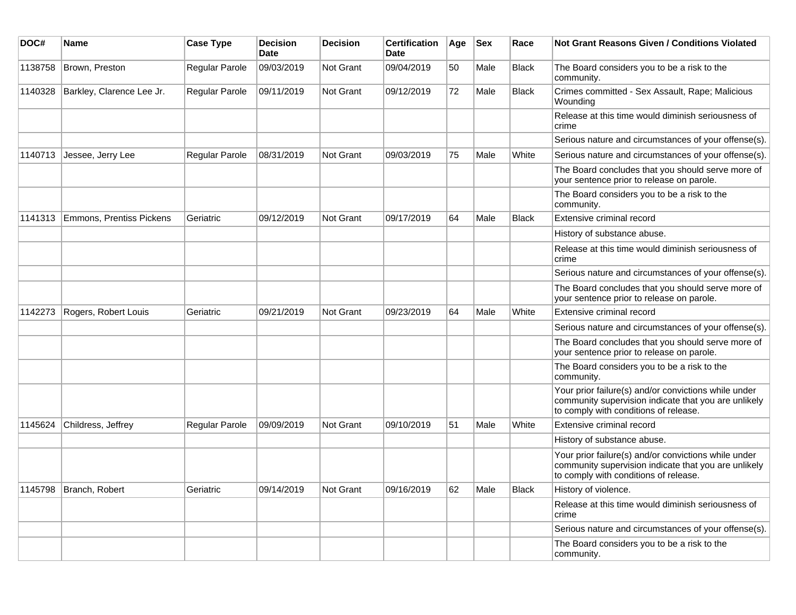| DOC#    | <b>Name</b>               | <b>Case Type</b> | <b>Decision</b><br><b>Date</b> | <b>Decision</b> | <b>Certification</b><br><b>Date</b> | Age | <b>Sex</b> | Race         | <b>Not Grant Reasons Given / Conditions Violated</b>                                                                                                  |
|---------|---------------------------|------------------|--------------------------------|-----------------|-------------------------------------|-----|------------|--------------|-------------------------------------------------------------------------------------------------------------------------------------------------------|
| 1138758 | Brown, Preston            | Regular Parole   | 09/03/2019                     | Not Grant       | 09/04/2019                          | 50  | Male       | <b>Black</b> | The Board considers you to be a risk to the<br>community.                                                                                             |
| 1140328 | Barkley, Clarence Lee Jr. | Regular Parole   | 09/11/2019                     | Not Grant       | 09/12/2019                          | 72  | Male       | <b>Black</b> | Crimes committed - Sex Assault, Rape; Malicious<br>Wounding                                                                                           |
|         |                           |                  |                                |                 |                                     |     |            |              | Release at this time would diminish seriousness of<br>crime                                                                                           |
|         |                           |                  |                                |                 |                                     |     |            |              | Serious nature and circumstances of your offense(s).                                                                                                  |
| 1140713 | Jessee. Jerry Lee         | Regular Parole   | 08/31/2019                     | Not Grant       | 09/03/2019                          | 75  | Male       | White        | Serious nature and circumstances of your offense(s).                                                                                                  |
|         |                           |                  |                                |                 |                                     |     |            |              | The Board concludes that you should serve more of<br>your sentence prior to release on parole.                                                        |
|         |                           |                  |                                |                 |                                     |     |            |              | The Board considers you to be a risk to the<br>community.                                                                                             |
| 1141313 | Emmons, Prentiss Pickens  | Geriatric        | 09/12/2019                     | Not Grant       | 09/17/2019                          | 64  | Male       | <b>Black</b> | Extensive criminal record                                                                                                                             |
|         |                           |                  |                                |                 |                                     |     |            |              | History of substance abuse.                                                                                                                           |
|         |                           |                  |                                |                 |                                     |     |            |              | Release at this time would diminish seriousness of<br>crime                                                                                           |
|         |                           |                  |                                |                 |                                     |     |            |              | Serious nature and circumstances of your offense(s).                                                                                                  |
|         |                           |                  |                                |                 |                                     |     |            |              | The Board concludes that you should serve more of<br>your sentence prior to release on parole.                                                        |
| 1142273 | Rogers, Robert Louis      | Geriatric        | 09/21/2019                     | Not Grant       | 09/23/2019                          | 64  | Male       | White        | Extensive criminal record                                                                                                                             |
|         |                           |                  |                                |                 |                                     |     |            |              | Serious nature and circumstances of your offense(s).                                                                                                  |
|         |                           |                  |                                |                 |                                     |     |            |              | The Board concludes that you should serve more of<br>your sentence prior to release on parole.                                                        |
|         |                           |                  |                                |                 |                                     |     |            |              | The Board considers you to be a risk to the<br>community.                                                                                             |
|         |                           |                  |                                |                 |                                     |     |            |              | Your prior failure(s) and/or convictions while under<br>community supervision indicate that you are unlikely<br>to comply with conditions of release. |
| 1145624 | Childress, Jeffrey        | Regular Parole   | 09/09/2019                     | Not Grant       | 09/10/2019                          | 51  | Male       | White        | Extensive criminal record                                                                                                                             |
|         |                           |                  |                                |                 |                                     |     |            |              | History of substance abuse.                                                                                                                           |
|         |                           |                  |                                |                 |                                     |     |            |              | Your prior failure(s) and/or convictions while under<br>community supervision indicate that you are unlikely<br>to comply with conditions of release. |
| 1145798 | Branch, Robert            | Geriatric        | 09/14/2019                     | Not Grant       | 09/16/2019                          | 62  | Male       | <b>Black</b> | History of violence.                                                                                                                                  |
|         |                           |                  |                                |                 |                                     |     |            |              | Release at this time would diminish seriousness of<br>crime                                                                                           |
|         |                           |                  |                                |                 |                                     |     |            |              | Serious nature and circumstances of your offense(s).                                                                                                  |
|         |                           |                  |                                |                 |                                     |     |            |              | The Board considers you to be a risk to the<br>community.                                                                                             |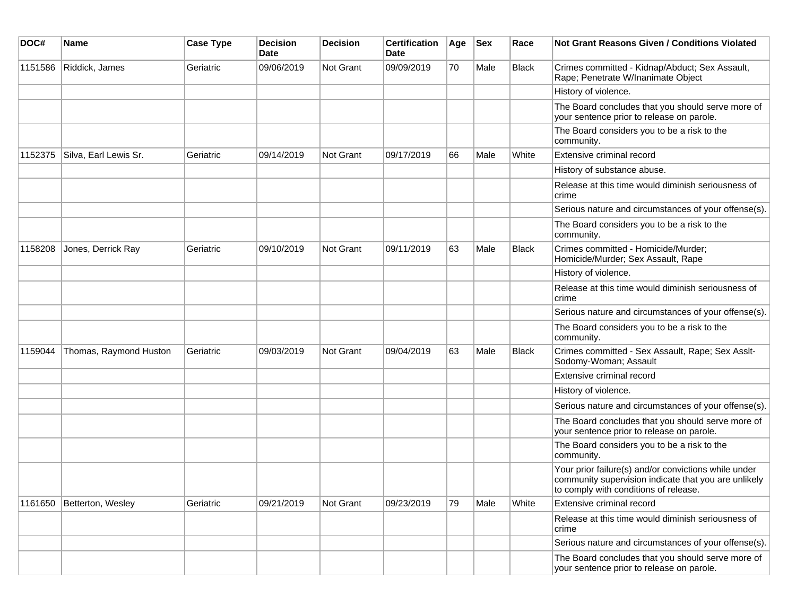| DOC#    | <b>Name</b>            | <b>Case Type</b> | <b>Decision</b><br><b>Date</b> | Decision  | <b>Certification</b><br>Date | Age | <b>Sex</b> | Race         | Not Grant Reasons Given / Conditions Violated                                                                                                         |
|---------|------------------------|------------------|--------------------------------|-----------|------------------------------|-----|------------|--------------|-------------------------------------------------------------------------------------------------------------------------------------------------------|
| 1151586 | Riddick, James         | Geriatric        | 09/06/2019                     | Not Grant | 09/09/2019                   | 70  | Male       | <b>Black</b> | Crimes committed - Kidnap/Abduct; Sex Assault,<br>Rape; Penetrate W/Inanimate Object                                                                  |
|         |                        |                  |                                |           |                              |     |            |              | History of violence.                                                                                                                                  |
|         |                        |                  |                                |           |                              |     |            |              | The Board concludes that you should serve more of<br>your sentence prior to release on parole.                                                        |
|         |                        |                  |                                |           |                              |     |            |              | The Board considers you to be a risk to the<br>community.                                                                                             |
| 1152375 | Silva, Earl Lewis Sr.  | Geriatric        | 09/14/2019                     | Not Grant | 09/17/2019                   | 66  | Male       | White        | Extensive criminal record                                                                                                                             |
|         |                        |                  |                                |           |                              |     |            |              | History of substance abuse.                                                                                                                           |
|         |                        |                  |                                |           |                              |     |            |              | Release at this time would diminish seriousness of<br>crime                                                                                           |
|         |                        |                  |                                |           |                              |     |            |              | Serious nature and circumstances of your offense(s).                                                                                                  |
|         |                        |                  |                                |           |                              |     |            |              | The Board considers you to be a risk to the<br>community.                                                                                             |
| 1158208 | Jones, Derrick Ray     | Geriatric        | 09/10/2019                     | Not Grant | 09/11/2019                   | 63  | Male       | <b>Black</b> | Crimes committed - Homicide/Murder;<br>Homicide/Murder; Sex Assault, Rape                                                                             |
|         |                        |                  |                                |           |                              |     |            |              | History of violence.                                                                                                                                  |
|         |                        |                  |                                |           |                              |     |            |              | Release at this time would diminish seriousness of<br>crime                                                                                           |
|         |                        |                  |                                |           |                              |     |            |              | Serious nature and circumstances of your offense(s).                                                                                                  |
|         |                        |                  |                                |           |                              |     |            |              | The Board considers you to be a risk to the<br>community.                                                                                             |
| 1159044 | Thomas, Raymond Huston | Geriatric        | 09/03/2019                     | Not Grant | 09/04/2019                   | 63  | Male       | <b>Black</b> | Crimes committed - Sex Assault, Rape; Sex Asslt-<br>Sodomy-Woman; Assault                                                                             |
|         |                        |                  |                                |           |                              |     |            |              | Extensive criminal record                                                                                                                             |
|         |                        |                  |                                |           |                              |     |            |              | History of violence.                                                                                                                                  |
|         |                        |                  |                                |           |                              |     |            |              | Serious nature and circumstances of your offense(s).                                                                                                  |
|         |                        |                  |                                |           |                              |     |            |              | The Board concludes that you should serve more of<br>your sentence prior to release on parole.                                                        |
|         |                        |                  |                                |           |                              |     |            |              | The Board considers you to be a risk to the<br>community.                                                                                             |
|         |                        |                  |                                |           |                              |     |            |              | Your prior failure(s) and/or convictions while under<br>community supervision indicate that you are unlikely<br>to comply with conditions of release. |
| 1161650 | Betterton, Wesley      | Geriatric        | 09/21/2019                     | Not Grant | 09/23/2019                   | 79  | Male       | White        | Extensive criminal record                                                                                                                             |
|         |                        |                  |                                |           |                              |     |            |              | Release at this time would diminish seriousness of<br>crime                                                                                           |
|         |                        |                  |                                |           |                              |     |            |              | Serious nature and circumstances of your offense(s).                                                                                                  |
|         |                        |                  |                                |           |                              |     |            |              | The Board concludes that you should serve more of<br>your sentence prior to release on parole.                                                        |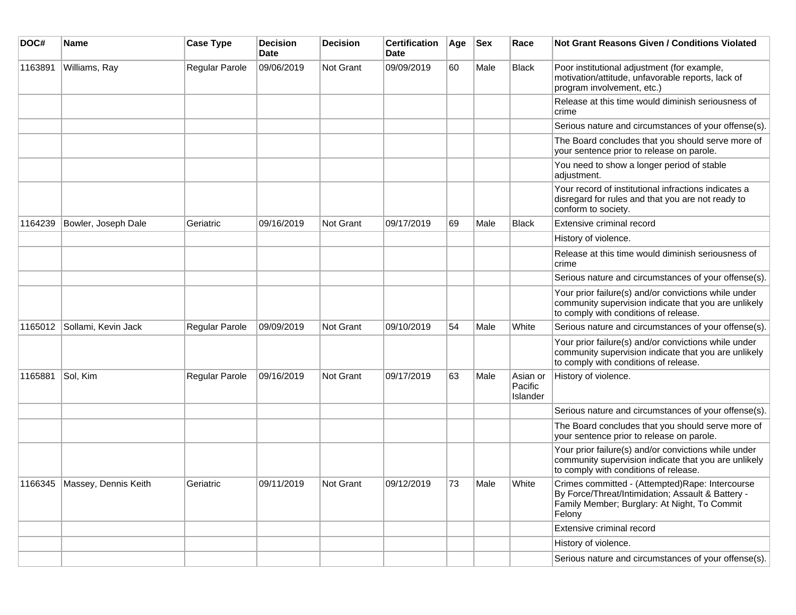| DOC#    | <b>Name</b>                    | <b>Case Type</b> | <b>Decision</b><br><b>Date</b> | <b>Decision</b>  | <b>Certification</b><br>Date | Age | <b>Sex</b> | Race                            | Not Grant Reasons Given / Conditions Violated                                                                                                                  |
|---------|--------------------------------|------------------|--------------------------------|------------------|------------------------------|-----|------------|---------------------------------|----------------------------------------------------------------------------------------------------------------------------------------------------------------|
| 1163891 | Williams, Ray                  | Regular Parole   | 09/06/2019                     | Not Grant        | 09/09/2019                   | 60  | Male       | <b>Black</b>                    | Poor institutional adjustment (for example,<br>motivation/attitude, unfavorable reports, lack of<br>program involvement, etc.)                                 |
|         |                                |                  |                                |                  |                              |     |            |                                 | Release at this time would diminish seriousness of<br>crime                                                                                                    |
|         |                                |                  |                                |                  |                              |     |            |                                 | Serious nature and circumstances of your offense(s).                                                                                                           |
|         |                                |                  |                                |                  |                              |     |            |                                 | The Board concludes that you should serve more of<br>your sentence prior to release on parole.                                                                 |
|         |                                |                  |                                |                  |                              |     |            |                                 | You need to show a longer period of stable<br>adjustment.                                                                                                      |
|         |                                |                  |                                |                  |                              |     |            |                                 | Your record of institutional infractions indicates a<br>disregard for rules and that you are not ready to<br>conform to society.                               |
| 1164239 | Bowler, Joseph Dale            | Geriatric        | 09/16/2019                     | Not Grant        | 09/17/2019                   | 69  | Male       | <b>Black</b>                    | Extensive criminal record                                                                                                                                      |
|         |                                |                  |                                |                  |                              |     |            |                                 | History of violence.                                                                                                                                           |
|         |                                |                  |                                |                  |                              |     |            |                                 | Release at this time would diminish seriousness of<br>crime                                                                                                    |
|         |                                |                  |                                |                  |                              |     |            |                                 | Serious nature and circumstances of your offense(s).                                                                                                           |
|         |                                |                  |                                |                  |                              |     |            |                                 | Your prior failure(s) and/or convictions while under<br>community supervision indicate that you are unlikely<br>to comply with conditions of release.          |
| 1165012 | Sollami, Kevin Jack            | Regular Parole   | 09/09/2019                     | <b>Not Grant</b> | 09/10/2019                   | 54  | Male       | White                           | Serious nature and circumstances of your offense(s).                                                                                                           |
|         |                                |                  |                                |                  |                              |     |            |                                 | Your prior failure(s) and/or convictions while under<br>community supervision indicate that you are unlikely<br>to comply with conditions of release.          |
| 1165881 | Sol, Kim                       | Regular Parole   | 09/16/2019                     | <b>Not Grant</b> | 09/17/2019                   | 63  | Male       | Asian or<br>Pacific<br>Islander | History of violence.                                                                                                                                           |
|         |                                |                  |                                |                  |                              |     |            |                                 | Serious nature and circumstances of your offense(s).                                                                                                           |
|         |                                |                  |                                |                  |                              |     |            |                                 | The Board concludes that you should serve more of<br>your sentence prior to release on parole.                                                                 |
|         |                                |                  |                                |                  |                              |     |            |                                 | Your prior failure(s) and/or convictions while under<br>community supervision indicate that you are unlikely<br>to comply with conditions of release.          |
|         | 1166345   Massey, Dennis Keith | Geriatric        | 09/11/2019                     | Not Grant        | 09/12/2019                   | 73  | Male       | White                           | Crimes committed - (Attempted)Rape: Intercourse<br>By Force/Threat/Intimidation; Assault & Battery -<br>Family Member; Burglary: At Night, To Commit<br>Felony |
|         |                                |                  |                                |                  |                              |     |            |                                 | Extensive criminal record                                                                                                                                      |
|         |                                |                  |                                |                  |                              |     |            |                                 | History of violence.                                                                                                                                           |
|         |                                |                  |                                |                  |                              |     |            |                                 | Serious nature and circumstances of your offense(s).                                                                                                           |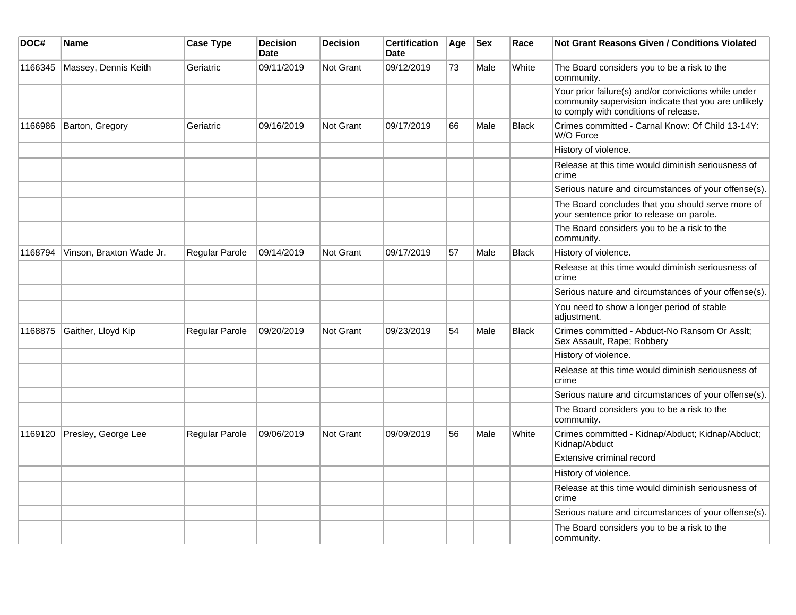| DOC#    | <b>Name</b>              | <b>Case Type</b> | <b>Decision</b><br><b>Date</b> | <b>Decision</b>  | <b>Certification</b><br><b>Date</b> | Age | <b>Sex</b> | Race         | <b>Not Grant Reasons Given / Conditions Violated</b>                                                                                                  |
|---------|--------------------------|------------------|--------------------------------|------------------|-------------------------------------|-----|------------|--------------|-------------------------------------------------------------------------------------------------------------------------------------------------------|
| 1166345 | Massey, Dennis Keith     | Geriatric        | 09/11/2019                     | Not Grant        | 09/12/2019                          | 73  | Male       | White        | The Board considers you to be a risk to the<br>community.                                                                                             |
|         |                          |                  |                                |                  |                                     |     |            |              | Your prior failure(s) and/or convictions while under<br>community supervision indicate that you are unlikely<br>to comply with conditions of release. |
| 1166986 | Barton, Gregory          | Geriatric        | 09/16/2019                     | Not Grant        | 09/17/2019                          | 66  | Male       | <b>Black</b> | Crimes committed - Carnal Know: Of Child 13-14Y:<br>W/O Force                                                                                         |
|         |                          |                  |                                |                  |                                     |     |            |              | History of violence.                                                                                                                                  |
|         |                          |                  |                                |                  |                                     |     |            |              | Release at this time would diminish seriousness of<br>crime                                                                                           |
|         |                          |                  |                                |                  |                                     |     |            |              | Serious nature and circumstances of your offense(s).                                                                                                  |
|         |                          |                  |                                |                  |                                     |     |            |              | The Board concludes that you should serve more of<br>your sentence prior to release on parole.                                                        |
|         |                          |                  |                                |                  |                                     |     |            |              | The Board considers you to be a risk to the<br>community.                                                                                             |
| 1168794 | Vinson, Braxton Wade Jr. | Regular Parole   | 09/14/2019                     | Not Grant        | 09/17/2019                          | 57  | Male       | <b>Black</b> | History of violence.                                                                                                                                  |
|         |                          |                  |                                |                  |                                     |     |            |              | Release at this time would diminish seriousness of<br>crime                                                                                           |
|         |                          |                  |                                |                  |                                     |     |            |              | Serious nature and circumstances of your offense(s).                                                                                                  |
|         |                          |                  |                                |                  |                                     |     |            |              | You need to show a longer period of stable<br>adjustment.                                                                                             |
| 1168875 | Gaither, Lloyd Kip       | Regular Parole   | 09/20/2019                     | <b>Not Grant</b> | 09/23/2019                          | 54  | Male       | <b>Black</b> | Crimes committed - Abduct-No Ransom Or Asslt;<br>Sex Assault, Rape; Robbery                                                                           |
|         |                          |                  |                                |                  |                                     |     |            |              | History of violence.                                                                                                                                  |
|         |                          |                  |                                |                  |                                     |     |            |              | Release at this time would diminish seriousness of<br>crime                                                                                           |
|         |                          |                  |                                |                  |                                     |     |            |              | Serious nature and circumstances of your offense(s).                                                                                                  |
|         |                          |                  |                                |                  |                                     |     |            |              | The Board considers you to be a risk to the<br>community.                                                                                             |
| 1169120 | Presley, George Lee      | Regular Parole   | 09/06/2019                     | <b>Not Grant</b> | 09/09/2019                          | 56  | Male       | White        | Crimes committed - Kidnap/Abduct; Kidnap/Abduct;<br>Kidnap/Abduct                                                                                     |
|         |                          |                  |                                |                  |                                     |     |            |              | Extensive criminal record                                                                                                                             |
|         |                          |                  |                                |                  |                                     |     |            |              | History of violence.                                                                                                                                  |
|         |                          |                  |                                |                  |                                     |     |            |              | Release at this time would diminish seriousness of<br>crime                                                                                           |
|         |                          |                  |                                |                  |                                     |     |            |              | Serious nature and circumstances of your offense(s).                                                                                                  |
|         |                          |                  |                                |                  |                                     |     |            |              | The Board considers you to be a risk to the<br>community.                                                                                             |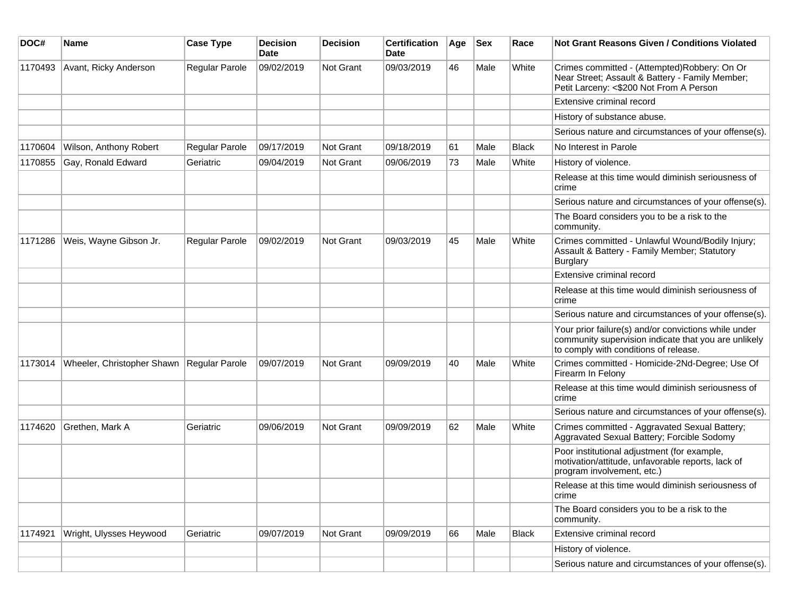| DOC#    | <b>Name</b>                | <b>Case Type</b>      | <b>Decision</b><br>Date | <b>Decision</b>  | <b>Certification</b><br>Date | Age | <b>Sex</b> | Race         | Not Grant Reasons Given / Conditions Violated                                                                                                         |
|---------|----------------------------|-----------------------|-------------------------|------------------|------------------------------|-----|------------|--------------|-------------------------------------------------------------------------------------------------------------------------------------------------------|
| 1170493 | Avant, Ricky Anderson      | Regular Parole        | 09/02/2019              | Not Grant        | 09/03/2019                   | 46  | Male       | White        | Crimes committed - (Attempted)Robbery: On Or<br>Near Street; Assault & Battery - Family Member;<br>Petit Larceny: <\$200 Not From A Person            |
|         |                            |                       |                         |                  |                              |     |            |              | Extensive criminal record                                                                                                                             |
|         |                            |                       |                         |                  |                              |     |            |              | History of substance abuse.                                                                                                                           |
|         |                            |                       |                         |                  |                              |     |            |              | Serious nature and circumstances of your offense(s).                                                                                                  |
| 1170604 | Wilson, Anthony Robert     | Regular Parole        | 09/17/2019              | Not Grant        | 09/18/2019                   | 61  | Male       | <b>Black</b> | No Interest in Parole                                                                                                                                 |
| 1170855 | Gay, Ronald Edward         | Geriatric             | 09/04/2019              | Not Grant        | 09/06/2019                   | 73  | Male       | White        | History of violence.                                                                                                                                  |
|         |                            |                       |                         |                  |                              |     |            |              | Release at this time would diminish seriousness of<br>crime                                                                                           |
|         |                            |                       |                         |                  |                              |     |            |              | Serious nature and circumstances of your offense(s).                                                                                                  |
|         |                            |                       |                         |                  |                              |     |            |              | The Board considers you to be a risk to the<br>community.                                                                                             |
| 1171286 | Weis, Wayne Gibson Jr.     | <b>Regular Parole</b> | 09/02/2019              | Not Grant        | 09/03/2019                   | 45  | Male       | White        | Crimes committed - Unlawful Wound/Bodily Injury;<br>Assault & Battery - Family Member; Statutory<br><b>Burglary</b>                                   |
|         |                            |                       |                         |                  |                              |     |            |              | Extensive criminal record                                                                                                                             |
|         |                            |                       |                         |                  |                              |     |            |              | Release at this time would diminish seriousness of<br>crime                                                                                           |
|         |                            |                       |                         |                  |                              |     |            |              | Serious nature and circumstances of your offense(s).                                                                                                  |
|         |                            |                       |                         |                  |                              |     |            |              | Your prior failure(s) and/or convictions while under<br>community supervision indicate that you are unlikely<br>to comply with conditions of release. |
| 1173014 | Wheeler, Christopher Shawn | Regular Parole        | 09/07/2019              | Not Grant        | 09/09/2019                   | 40  | Male       | White        | Crimes committed - Homicide-2Nd-Degree; Use Of<br>Firearm In Felony                                                                                   |
|         |                            |                       |                         |                  |                              |     |            |              | Release at this time would diminish seriousness of<br>crime                                                                                           |
|         |                            |                       |                         |                  |                              |     |            |              | Serious nature and circumstances of your offense(s).                                                                                                  |
| 1174620 | Grethen, Mark A            | Geriatric             | 09/06/2019              | Not Grant        | 09/09/2019                   | 62  | Male       | White        | Crimes committed - Aggravated Sexual Battery;<br>Aggravated Sexual Battery; Forcible Sodomy                                                           |
|         |                            |                       |                         |                  |                              |     |            |              | Poor institutional adjustment (for example,<br>motivation/attitude, unfavorable reports, lack of<br>program involvement, etc.)                        |
|         |                            |                       |                         |                  |                              |     |            |              | Release at this time would diminish seriousness of<br>crime                                                                                           |
|         |                            |                       |                         |                  |                              |     |            |              | The Board considers you to be a risk to the<br>community.                                                                                             |
| 1174921 | Wright, Ulysses Heywood    | Geriatric             | 09/07/2019              | <b>Not Grant</b> | 09/09/2019                   | 66  | Male       | Black        | Extensive criminal record                                                                                                                             |
|         |                            |                       |                         |                  |                              |     |            |              | History of violence.                                                                                                                                  |
|         |                            |                       |                         |                  |                              |     |            |              | Serious nature and circumstances of your offense(s).                                                                                                  |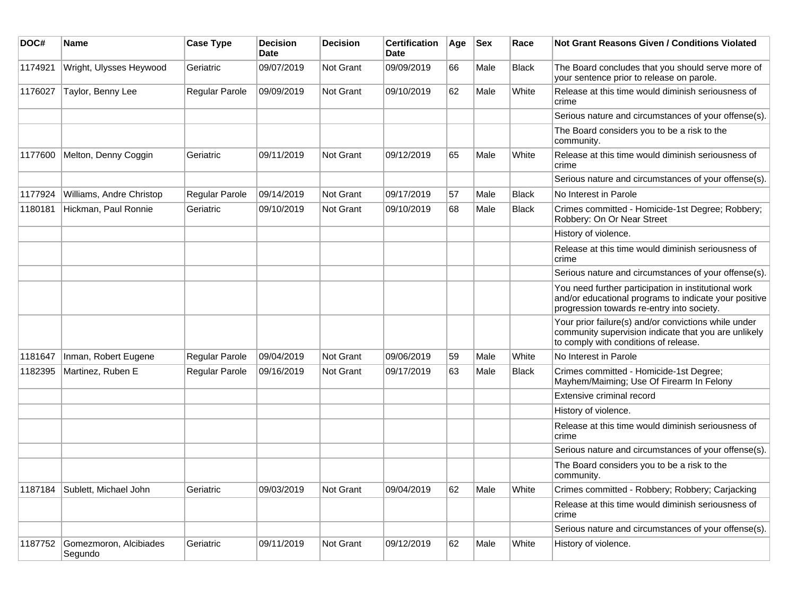| DOC#    | Name                              | <b>Case Type</b>      | <b>Decision</b><br>Date | <b>Decision</b>  | <b>Certification</b><br>Date | Age | <b>Sex</b> | Race         | <b>Not Grant Reasons Given / Conditions Violated</b>                                                                                                        |
|---------|-----------------------------------|-----------------------|-------------------------|------------------|------------------------------|-----|------------|--------------|-------------------------------------------------------------------------------------------------------------------------------------------------------------|
| 1174921 | Wright, Ulysses Heywood           | Geriatric             | 09/07/2019              | Not Grant        | 09/09/2019                   | 66  | Male       | <b>Black</b> | The Board concludes that you should serve more of<br>your sentence prior to release on parole.                                                              |
| 1176027 | Taylor, Benny Lee                 | Regular Parole        | 09/09/2019              | Not Grant        | 09/10/2019                   | 62  | Male       | White        | Release at this time would diminish seriousness of<br>crime                                                                                                 |
|         |                                   |                       |                         |                  |                              |     |            |              | Serious nature and circumstances of your offense(s).                                                                                                        |
|         |                                   |                       |                         |                  |                              |     |            |              | The Board considers you to be a risk to the<br>community.                                                                                                   |
| 1177600 | Melton, Denny Coggin              | Geriatric             | 09/11/2019              | Not Grant        | 09/12/2019                   | 65  | Male       | White        | Release at this time would diminish seriousness of<br>crime                                                                                                 |
|         |                                   |                       |                         |                  |                              |     |            |              | Serious nature and circumstances of your offense(s).                                                                                                        |
| 1177924 | Williams, Andre Christop          | Regular Parole        | 09/14/2019              | Not Grant        | 09/17/2019                   | 57  | Male       | <b>Black</b> | No Interest in Parole                                                                                                                                       |
| 1180181 | Hickman, Paul Ronnie              | Geriatric             | 09/10/2019              | Not Grant        | 09/10/2019                   | 68  | Male       | <b>Black</b> | Crimes committed - Homicide-1st Degree; Robbery;<br>Robbery: On Or Near Street                                                                              |
|         |                                   |                       |                         |                  |                              |     |            |              | History of violence.                                                                                                                                        |
|         |                                   |                       |                         |                  |                              |     |            |              | Release at this time would diminish seriousness of<br>crime                                                                                                 |
|         |                                   |                       |                         |                  |                              |     |            |              | Serious nature and circumstances of your offense(s).                                                                                                        |
|         |                                   |                       |                         |                  |                              |     |            |              | You need further participation in institutional work<br>and/or educational programs to indicate your positive<br>progression towards re-entry into society. |
|         |                                   |                       |                         |                  |                              |     |            |              | Your prior failure(s) and/or convictions while under<br>community supervision indicate that you are unlikely<br>to comply with conditions of release.       |
| 1181647 | Inman, Robert Eugene              | <b>Regular Parole</b> | 09/04/2019              | Not Grant        | 09/06/2019                   | 59  | Male       | White        | No Interest in Parole                                                                                                                                       |
| 1182395 | Martinez, Ruben E                 | Regular Parole        | 09/16/2019              | <b>Not Grant</b> | 09/17/2019                   | 63  | Male       | Black        | Crimes committed - Homicide-1st Degree;<br>Mayhem/Maiming; Use Of Firearm In Felony                                                                         |
|         |                                   |                       |                         |                  |                              |     |            |              | Extensive criminal record                                                                                                                                   |
|         |                                   |                       |                         |                  |                              |     |            |              | History of violence.                                                                                                                                        |
|         |                                   |                       |                         |                  |                              |     |            |              | Release at this time would diminish seriousness of<br>crime                                                                                                 |
|         |                                   |                       |                         |                  |                              |     |            |              | Serious nature and circumstances of your offense(s).                                                                                                        |
|         |                                   |                       |                         |                  |                              |     |            |              | The Board considers you to be a risk to the<br>community.                                                                                                   |
| 1187184 | Sublett, Michael John             | Geriatric             | 09/03/2019              | <b>Not Grant</b> | 09/04/2019                   | 62  | Male       | White        | Crimes committed - Robbery; Robbery; Carjacking                                                                                                             |
|         |                                   |                       |                         |                  |                              |     |            |              | Release at this time would diminish seriousness of<br>crime                                                                                                 |
|         |                                   |                       |                         |                  |                              |     |            |              | Serious nature and circumstances of your offense(s).                                                                                                        |
| 1187752 | Gomezmoron, Alcibiades<br>Segundo | Geriatric             | 09/11/2019              | Not Grant        | 09/12/2019                   | 62  | Male       | White        | History of violence.                                                                                                                                        |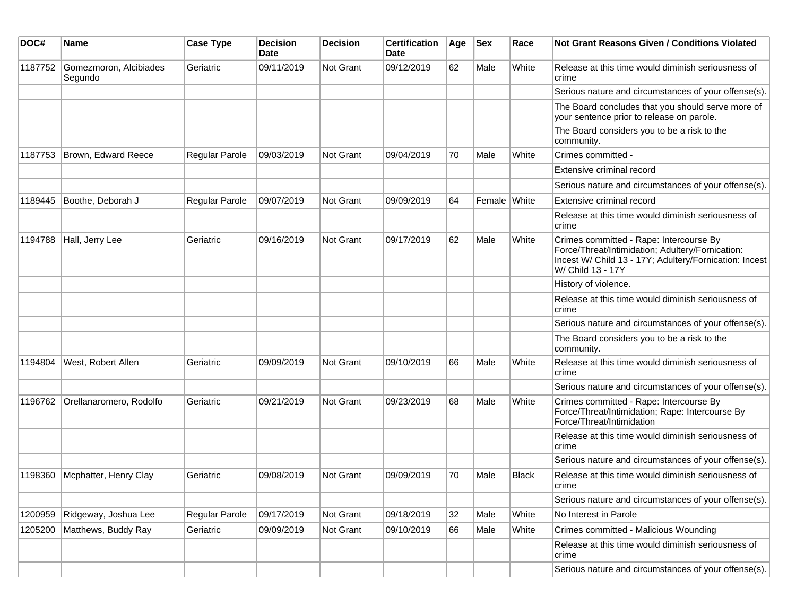| DOC#    | <b>Name</b>                       | <b>Case Type</b>      | <b>Decision</b><br><b>Date</b> | <b>Decision</b> | <b>Certification</b><br><b>Date</b> | Age | <b>Sex</b>   | Race         | <b>Not Grant Reasons Given / Conditions Violated</b>                                                                                                                       |
|---------|-----------------------------------|-----------------------|--------------------------------|-----------------|-------------------------------------|-----|--------------|--------------|----------------------------------------------------------------------------------------------------------------------------------------------------------------------------|
| 1187752 | Gomezmoron, Alcibiades<br>Segundo | Geriatric             | 09/11/2019                     | Not Grant       | 09/12/2019                          | 62  | Male         | White        | Release at this time would diminish seriousness of<br>crime                                                                                                                |
|         |                                   |                       |                                |                 |                                     |     |              |              | Serious nature and circumstances of your offense(s).                                                                                                                       |
|         |                                   |                       |                                |                 |                                     |     |              |              | The Board concludes that you should serve more of<br>your sentence prior to release on parole.                                                                             |
|         |                                   |                       |                                |                 |                                     |     |              |              | The Board considers you to be a risk to the<br>community.                                                                                                                  |
| 1187753 | Brown, Edward Reece               | Regular Parole        | 09/03/2019                     | Not Grant       | 09/04/2019                          | 70  | Male         | White        | Crimes committed -                                                                                                                                                         |
|         |                                   |                       |                                |                 |                                     |     |              |              | Extensive criminal record                                                                                                                                                  |
|         |                                   |                       |                                |                 |                                     |     |              |              | Serious nature and circumstances of your offense(s).                                                                                                                       |
| 1189445 | Boothe, Deborah J                 | <b>Regular Parole</b> | 09/07/2019                     | Not Grant       | 09/09/2019                          | 64  | Female White |              | Extensive criminal record                                                                                                                                                  |
|         |                                   |                       |                                |                 |                                     |     |              |              | Release at this time would diminish seriousness of<br>crime                                                                                                                |
| 1194788 | Hall, Jerry Lee                   | Geriatric             | 09/16/2019                     | Not Grant       | 09/17/2019                          | 62  | Male         | White        | Crimes committed - Rape: Intercourse By<br>Force/Threat/Intimidation; Adultery/Fornication:<br>Incest W/ Child 13 - 17Y; Adultery/Fornication: Incest<br>W/ Child 13 - 17Y |
|         |                                   |                       |                                |                 |                                     |     |              |              | History of violence.                                                                                                                                                       |
|         |                                   |                       |                                |                 |                                     |     |              |              | Release at this time would diminish seriousness of<br>crime                                                                                                                |
|         |                                   |                       |                                |                 |                                     |     |              |              | Serious nature and circumstances of your offense(s).                                                                                                                       |
|         |                                   |                       |                                |                 |                                     |     |              |              | The Board considers you to be a risk to the<br>community.                                                                                                                  |
| 1194804 | West, Robert Allen                | Geriatric             | 09/09/2019                     | Not Grant       | 09/10/2019                          | 66  | Male         | White        | Release at this time would diminish seriousness of<br>crime                                                                                                                |
|         |                                   |                       |                                |                 |                                     |     |              |              | Serious nature and circumstances of your offense(s).                                                                                                                       |
| 1196762 | Orellanaromero, Rodolfo           | Geriatric             | 09/21/2019                     | Not Grant       | 09/23/2019                          | 68  | Male         | White        | Crimes committed - Rape: Intercourse By<br>Force/Threat/Intimidation; Rape: Intercourse By<br>Force/Threat/Intimidation                                                    |
|         |                                   |                       |                                |                 |                                     |     |              |              | Release at this time would diminish seriousness of<br>crime                                                                                                                |
|         |                                   |                       |                                |                 |                                     |     |              |              | Serious nature and circumstances of your offense(s).                                                                                                                       |
| 1198360 | Mcphatter, Henry Clay             | Geriatric             | 09/08/2019                     | Not Grant       | 09/09/2019                          | 70  | Male         | <b>Black</b> | Release at this time would diminish seriousness of<br>crime                                                                                                                |
|         |                                   |                       |                                |                 |                                     |     |              |              | Serious nature and circumstances of your offense(s).                                                                                                                       |
| 1200959 | Ridgeway, Joshua Lee              | Regular Parole        | 09/17/2019                     | Not Grant       | 09/18/2019                          | 32  | Male         | White        | No Interest in Parole                                                                                                                                                      |
| 1205200 | Matthews, Buddy Ray               | Geriatric             | 09/09/2019                     | Not Grant       | 09/10/2019                          | 66  | Male         | White        | Crimes committed - Malicious Wounding                                                                                                                                      |
|         |                                   |                       |                                |                 |                                     |     |              |              | Release at this time would diminish seriousness of<br>crime                                                                                                                |
|         |                                   |                       |                                |                 |                                     |     |              |              | Serious nature and circumstances of your offense(s).                                                                                                                       |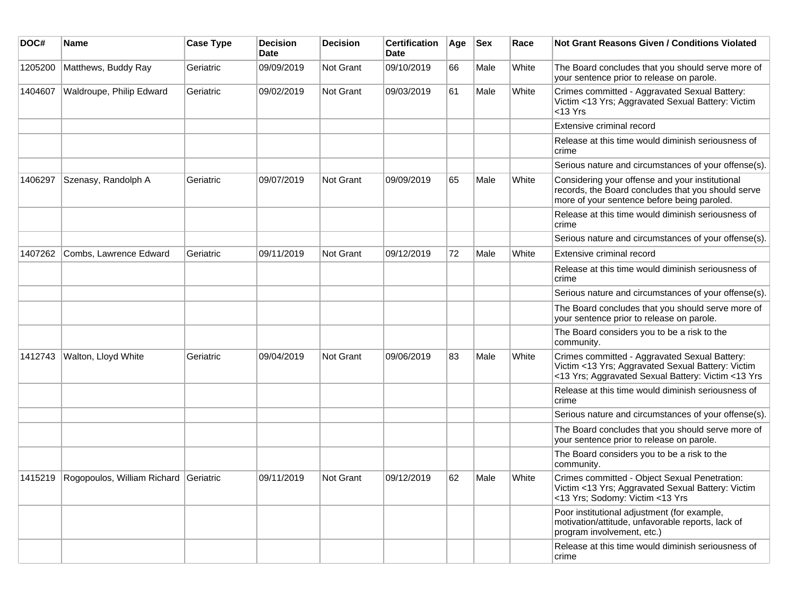| DOC#    | Name                                  | <b>Case Type</b> | <b>Decision</b><br><b>Date</b> | <b>Decision</b>  | <b>Certification</b><br>Date | Age | <b>Sex</b> | Race  | Not Grant Reasons Given / Conditions Violated                                                                                                            |
|---------|---------------------------------------|------------------|--------------------------------|------------------|------------------------------|-----|------------|-------|----------------------------------------------------------------------------------------------------------------------------------------------------------|
| 1205200 | Matthews, Buddy Ray                   | Geriatric        | 09/09/2019                     | Not Grant        | 09/10/2019                   | 66  | Male       | White | The Board concludes that you should serve more of<br>your sentence prior to release on parole.                                                           |
| 1404607 | Waldroupe, Philip Edward              | Geriatric        | 09/02/2019                     | Not Grant        | 09/03/2019                   | 61  | Male       | White | Crimes committed - Aggravated Sexual Battery:<br>Victim <13 Yrs; Aggravated Sexual Battery: Victim<br>$<$ 13 Yrs                                         |
|         |                                       |                  |                                |                  |                              |     |            |       | Extensive criminal record                                                                                                                                |
|         |                                       |                  |                                |                  |                              |     |            |       | Release at this time would diminish seriousness of<br>crime                                                                                              |
|         |                                       |                  |                                |                  |                              |     |            |       | Serious nature and circumstances of your offense(s).                                                                                                     |
| 1406297 | Szenasy, Randolph A                   | Geriatric        | 09/07/2019                     | <b>Not Grant</b> | 09/09/2019                   | 65  | Male       | White | Considering your offense and your institutional<br>records, the Board concludes that you should serve<br>more of your sentence before being paroled.     |
|         |                                       |                  |                                |                  |                              |     |            |       | Release at this time would diminish seriousness of<br>crime                                                                                              |
|         |                                       |                  |                                |                  |                              |     |            |       | Serious nature and circumstances of your offense(s).                                                                                                     |
| 1407262 | Combs, Lawrence Edward                | Geriatric        | 09/11/2019                     | Not Grant        | 09/12/2019                   | 72  | Male       | White | Extensive criminal record                                                                                                                                |
|         |                                       |                  |                                |                  |                              |     |            |       | Release at this time would diminish seriousness of<br>crime                                                                                              |
|         |                                       |                  |                                |                  |                              |     |            |       | Serious nature and circumstances of your offense(s).                                                                                                     |
|         |                                       |                  |                                |                  |                              |     |            |       | The Board concludes that you should serve more of<br>your sentence prior to release on parole.                                                           |
|         |                                       |                  |                                |                  |                              |     |            |       | The Board considers you to be a risk to the<br>community.                                                                                                |
| 1412743 | Walton, Lloyd White                   | Geriatric        | 09/04/2019                     | <b>Not Grant</b> | 09/06/2019                   | 83  | Male       | White | Crimes committed - Aggravated Sexual Battery:<br>Victim <13 Yrs; Aggravated Sexual Battery: Victim<br><13 Yrs; Aggravated Sexual Battery: Victim <13 Yrs |
|         |                                       |                  |                                |                  |                              |     |            |       | Release at this time would diminish seriousness of<br>crime                                                                                              |
|         |                                       |                  |                                |                  |                              |     |            |       | Serious nature and circumstances of your offense(s).                                                                                                     |
|         |                                       |                  |                                |                  |                              |     |            |       | The Board concludes that you should serve more of<br>your sentence prior to release on parole.                                                           |
|         |                                       |                  |                                |                  |                              |     |            |       | The Board considers you to be a risk to the<br>community.                                                                                                |
| 1415219 | Rogopoulos, William Richard Geriatric |                  | 09/11/2019                     | Not Grant        | 09/12/2019                   | 62  | Male       | White | Crimes committed - Object Sexual Penetration:<br>Victim <13 Yrs; Aggravated Sexual Battery: Victim<br><13 Yrs; Sodomy: Victim <13 Yrs                    |
|         |                                       |                  |                                |                  |                              |     |            |       | Poor institutional adjustment (for example,<br>motivation/attitude, unfavorable reports, lack of<br>program involvement, etc.)                           |
|         |                                       |                  |                                |                  |                              |     |            |       | Release at this time would diminish seriousness of<br>crime                                                                                              |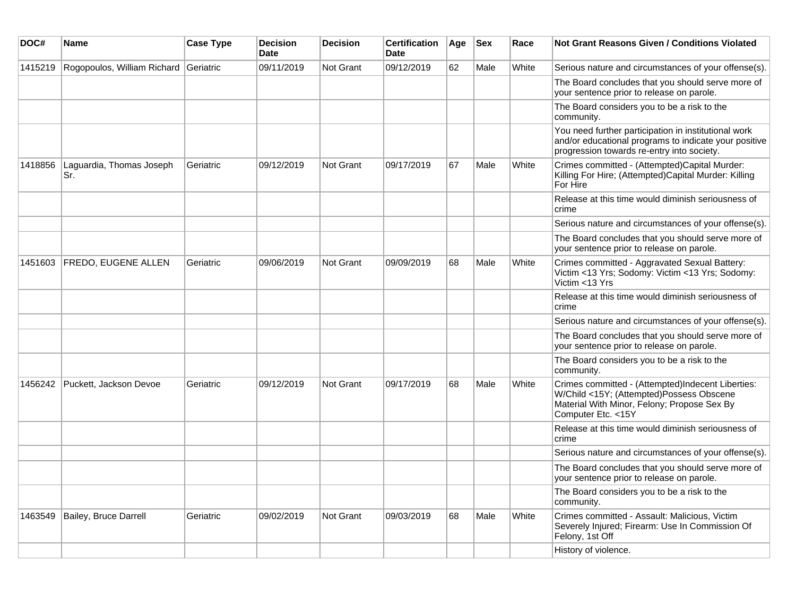| DOC#    | <b>Name</b>                     | <b>Case Type</b> | <b>Decision</b><br><b>Date</b> | <b>Decision</b> | <b>Certification</b><br><b>Date</b> | Age | <b>Sex</b> | Race  | <b>Not Grant Reasons Given / Conditions Violated</b>                                                                                                               |
|---------|---------------------------------|------------------|--------------------------------|-----------------|-------------------------------------|-----|------------|-------|--------------------------------------------------------------------------------------------------------------------------------------------------------------------|
| 1415219 | Rogopoulos, William Richard     | Geriatric        | 09/11/2019                     | Not Grant       | 09/12/2019                          | 62  | Male       | White | Serious nature and circumstances of your offense(s).                                                                                                               |
|         |                                 |                  |                                |                 |                                     |     |            |       | The Board concludes that you should serve more of<br>your sentence prior to release on parole.                                                                     |
|         |                                 |                  |                                |                 |                                     |     |            |       | The Board considers you to be a risk to the<br>community.                                                                                                          |
|         |                                 |                  |                                |                 |                                     |     |            |       | You need further participation in institutional work<br>and/or educational programs to indicate your positive<br>progression towards re-entry into society.        |
| 1418856 | Laguardia, Thomas Joseph<br>Sr. | Geriatric        | 09/12/2019                     | Not Grant       | 09/17/2019                          | 67  | Male       | White | Crimes committed - (Attempted)Capital Murder:<br>Killing For Hire; (Attempted)Capital Murder: Killing<br>For Hire                                                  |
|         |                                 |                  |                                |                 |                                     |     |            |       | Release at this time would diminish seriousness of<br>crime                                                                                                        |
|         |                                 |                  |                                |                 |                                     |     |            |       | Serious nature and circumstances of your offense(s).                                                                                                               |
|         |                                 |                  |                                |                 |                                     |     |            |       | The Board concludes that you should serve more of<br>your sentence prior to release on parole.                                                                     |
| 1451603 | <b>FREDO, EUGENE ALLEN</b>      | Geriatric        | 09/06/2019                     | Not Grant       | 09/09/2019                          | 68  | Male       | White | Crimes committed - Aggravated Sexual Battery:<br>Victim <13 Yrs; Sodomy: Victim <13 Yrs; Sodomy:<br>Victim <13 Yrs                                                 |
|         |                                 |                  |                                |                 |                                     |     |            |       | Release at this time would diminish seriousness of<br>crime                                                                                                        |
|         |                                 |                  |                                |                 |                                     |     |            |       | Serious nature and circumstances of your offense(s).                                                                                                               |
|         |                                 |                  |                                |                 |                                     |     |            |       | The Board concludes that you should serve more of<br>your sentence prior to release on parole.                                                                     |
|         |                                 |                  |                                |                 |                                     |     |            |       | The Board considers you to be a risk to the<br>community.                                                                                                          |
| 1456242 | Puckett, Jackson Devoe          | Geriatric        | 09/12/2019                     | Not Grant       | 09/17/2019                          | 68  | Male       | White | Crimes committed - (Attempted)Indecent Liberties:<br>W/Child <15Y; (Attempted)Possess Obscene<br>Material With Minor, Felony; Propose Sex By<br>Computer Etc. <15Y |
|         |                                 |                  |                                |                 |                                     |     |            |       | Release at this time would diminish seriousness of<br>crime                                                                                                        |
|         |                                 |                  |                                |                 |                                     |     |            |       | Serious nature and circumstances of your offense(s).                                                                                                               |
|         |                                 |                  |                                |                 |                                     |     |            |       | The Board concludes that you should serve more of<br>your sentence prior to release on parole.                                                                     |
|         |                                 |                  |                                |                 |                                     |     |            |       | The Board considers you to be a risk to the<br>community.                                                                                                          |
| 1463549 | Bailey, Bruce Darrell           | Geriatric        | 09/02/2019                     | Not Grant       | 09/03/2019                          | 68  | Male       | White | Crimes committed - Assault: Malicious, Victim<br>Severely Injured; Firearm: Use In Commission Of<br>Felony, 1st Off                                                |
|         |                                 |                  |                                |                 |                                     |     |            |       | History of violence.                                                                                                                                               |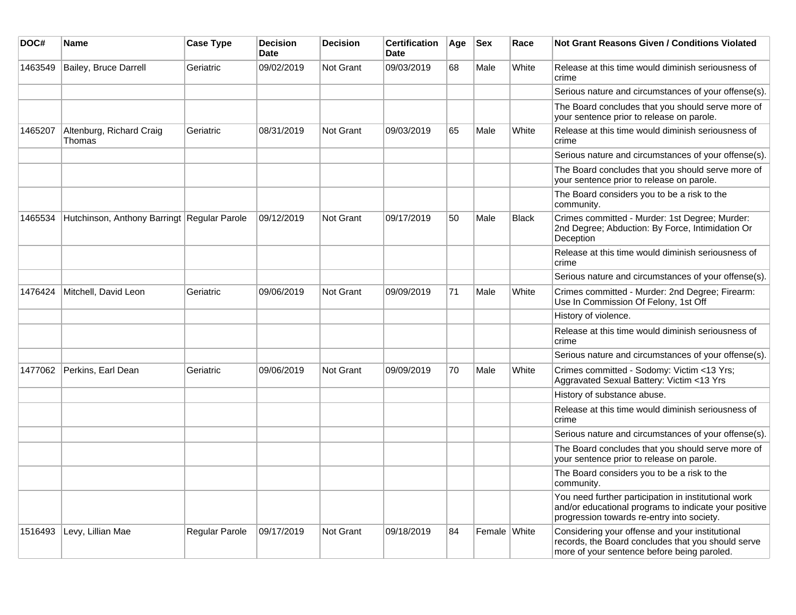| DOC#    | Name                                        | <b>Case Type</b>      | <b>Decision</b><br><b>Date</b> | <b>Decision</b>  | <b>Certification</b><br><b>Date</b> | Age | <b>Sex</b>   | Race         | <b>Not Grant Reasons Given / Conditions Violated</b>                                                                                                        |
|---------|---------------------------------------------|-----------------------|--------------------------------|------------------|-------------------------------------|-----|--------------|--------------|-------------------------------------------------------------------------------------------------------------------------------------------------------------|
| 1463549 | Bailey, Bruce Darrell                       | Geriatric             | 09/02/2019                     | <b>Not Grant</b> | 09/03/2019                          | 68  | Male         | White        | Release at this time would diminish seriousness of<br>crime                                                                                                 |
|         |                                             |                       |                                |                  |                                     |     |              |              | Serious nature and circumstances of your offense(s).                                                                                                        |
|         |                                             |                       |                                |                  |                                     |     |              |              | The Board concludes that you should serve more of<br>your sentence prior to release on parole.                                                              |
| 1465207 | Altenburg, Richard Craig<br>Thomas          | Geriatric             | 08/31/2019                     | <b>Not Grant</b> | 09/03/2019                          | 65  | Male         | White        | Release at this time would diminish seriousness of<br>crime                                                                                                 |
|         |                                             |                       |                                |                  |                                     |     |              |              | Serious nature and circumstances of your offense(s).                                                                                                        |
|         |                                             |                       |                                |                  |                                     |     |              |              | The Board concludes that you should serve more of<br>your sentence prior to release on parole.                                                              |
|         |                                             |                       |                                |                  |                                     |     |              |              | The Board considers you to be a risk to the<br>community.                                                                                                   |
| 1465534 | Hutchinson, Anthony Barringt Regular Parole |                       | 09/12/2019                     | <b>Not Grant</b> | 09/17/2019                          | 50  | Male         | <b>Black</b> | Crimes committed - Murder: 1st Degree; Murder:<br>2nd Degree; Abduction: By Force, Intimidation Or<br>Deception                                             |
|         |                                             |                       |                                |                  |                                     |     |              |              | Release at this time would diminish seriousness of<br>crime                                                                                                 |
|         |                                             |                       |                                |                  |                                     |     |              |              | Serious nature and circumstances of your offense(s).                                                                                                        |
| 1476424 | Mitchell, David Leon                        | Geriatric             | 09/06/2019                     | <b>Not Grant</b> | 09/09/2019                          | 71  | Male         | White        | Crimes committed - Murder: 2nd Degree; Firearm:<br>Use In Commission Of Felony, 1st Off                                                                     |
|         |                                             |                       |                                |                  |                                     |     |              |              | History of violence.                                                                                                                                        |
|         |                                             |                       |                                |                  |                                     |     |              |              | Release at this time would diminish seriousness of<br>crime                                                                                                 |
|         |                                             |                       |                                |                  |                                     |     |              |              | Serious nature and circumstances of your offense(s).                                                                                                        |
| 1477062 | Perkins, Earl Dean                          | Geriatric             | 09/06/2019                     | <b>Not Grant</b> | 09/09/2019                          | 70  | Male         | White        | Crimes committed - Sodomy: Victim <13 Yrs;<br>Aggravated Sexual Battery: Victim <13 Yrs                                                                     |
|         |                                             |                       |                                |                  |                                     |     |              |              | History of substance abuse.                                                                                                                                 |
|         |                                             |                       |                                |                  |                                     |     |              |              | Release at this time would diminish seriousness of<br>crime                                                                                                 |
|         |                                             |                       |                                |                  |                                     |     |              |              | Serious nature and circumstances of your offense(s).                                                                                                        |
|         |                                             |                       |                                |                  |                                     |     |              |              | The Board concludes that you should serve more of<br>your sentence prior to release on parole.                                                              |
|         |                                             |                       |                                |                  |                                     |     |              |              | The Board considers you to be a risk to the<br>community.                                                                                                   |
|         |                                             |                       |                                |                  |                                     |     |              |              | You need further participation in institutional work<br>and/or educational programs to indicate your positive<br>progression towards re-entry into society. |
| 1516493 | Levy, Lillian Mae                           | <b>Regular Parole</b> | 09/17/2019                     | Not Grant        | 09/18/2019                          | 84  | Female White |              | Considering your offense and your institutional<br>records, the Board concludes that you should serve<br>more of your sentence before being paroled.        |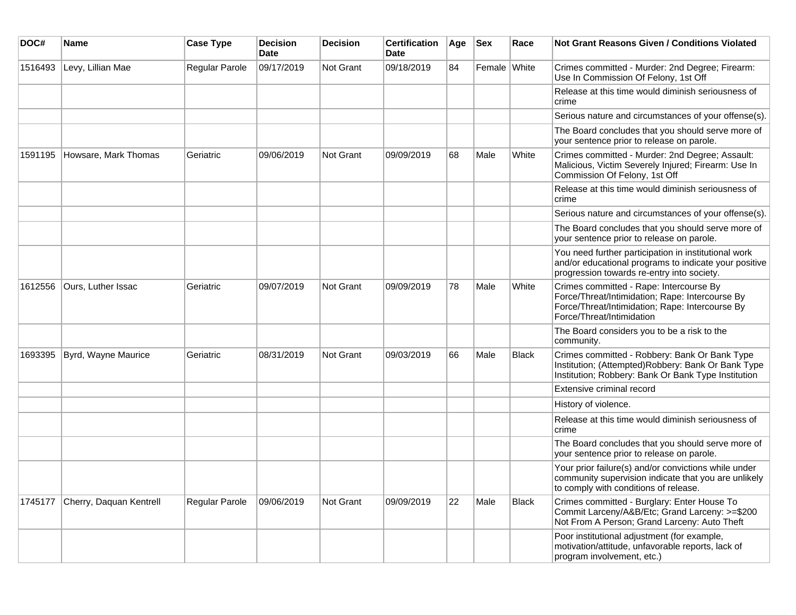| DOC#    | <b>Name</b>             | <b>Case Type</b> | Decision<br><b>Date</b> | <b>Decision</b>  | <b>Certification</b><br>Date | Age | <b>Sex</b>   | Race         | <b>Not Grant Reasons Given / Conditions Violated</b>                                                                                                                       |
|---------|-------------------------|------------------|-------------------------|------------------|------------------------------|-----|--------------|--------------|----------------------------------------------------------------------------------------------------------------------------------------------------------------------------|
| 1516493 | Levy, Lillian Mae       | Regular Parole   | 09/17/2019              | <b>Not Grant</b> | 09/18/2019                   | 84  | Female White |              | Crimes committed - Murder: 2nd Degree; Firearm:<br>Use In Commission Of Felony, 1st Off                                                                                    |
|         |                         |                  |                         |                  |                              |     |              |              | Release at this time would diminish seriousness of<br>crime                                                                                                                |
|         |                         |                  |                         |                  |                              |     |              |              | Serious nature and circumstances of your offense(s).                                                                                                                       |
|         |                         |                  |                         |                  |                              |     |              |              | The Board concludes that you should serve more of<br>your sentence prior to release on parole.                                                                             |
| 1591195 | Howsare, Mark Thomas    | Geriatric        | 09/06/2019              | <b>Not Grant</b> | 09/09/2019                   | 68  | Male         | White        | Crimes committed - Murder: 2nd Degree; Assault:<br>Malicious, Victim Severely Injured; Firearm: Use In<br>Commission Of Felony, 1st Off                                    |
|         |                         |                  |                         |                  |                              |     |              |              | Release at this time would diminish seriousness of<br>crime                                                                                                                |
|         |                         |                  |                         |                  |                              |     |              |              | Serious nature and circumstances of your offense(s).                                                                                                                       |
|         |                         |                  |                         |                  |                              |     |              |              | The Board concludes that you should serve more of<br>your sentence prior to release on parole.                                                                             |
|         |                         |                  |                         |                  |                              |     |              |              | You need further participation in institutional work<br>and/or educational programs to indicate your positive<br>progression towards re-entry into society.                |
| 1612556 | Ours, Luther Issac      | Geriatric        | 09/07/2019              | <b>Not Grant</b> | 09/09/2019                   | 78  | Male         | White        | Crimes committed - Rape: Intercourse By<br>Force/Threat/Intimidation; Rape: Intercourse By<br>Force/Threat/Intimidation; Rape: Intercourse By<br>Force/Threat/Intimidation |
|         |                         |                  |                         |                  |                              |     |              |              | The Board considers you to be a risk to the<br>community.                                                                                                                  |
| 1693395 | Byrd, Wayne Maurice     | Geriatric        | 08/31/2019              | <b>Not Grant</b> | 09/03/2019                   | 66  | Male         | Black        | Crimes committed - Robbery: Bank Or Bank Type<br>Institution; (Attempted)Robbery: Bank Or Bank Type<br>Institution; Robbery: Bank Or Bank Type Institution                 |
|         |                         |                  |                         |                  |                              |     |              |              | Extensive criminal record                                                                                                                                                  |
|         |                         |                  |                         |                  |                              |     |              |              | History of violence.                                                                                                                                                       |
|         |                         |                  |                         |                  |                              |     |              |              | Release at this time would diminish seriousness of<br>crime                                                                                                                |
|         |                         |                  |                         |                  |                              |     |              |              | The Board concludes that you should serve more of<br>your sentence prior to release on parole.                                                                             |
|         |                         |                  |                         |                  |                              |     |              |              | Your prior failure(s) and/or convictions while under<br>community supervision indicate that you are unlikely<br>to comply with conditions of release.                      |
| 1745177 | Cherry, Daquan Kentrell | Regular Parole   | 09/06/2019              | Not Grant        | 09/09/2019                   | 22  | Male         | <b>Black</b> | Crimes committed - Burglary: Enter House To<br>Commit Larceny/A&B/Etc; Grand Larceny: >=\$200<br>Not From A Person; Grand Larceny: Auto Theft                              |
|         |                         |                  |                         |                  |                              |     |              |              | Poor institutional adjustment (for example,<br>motivation/attitude, unfavorable reports, lack of<br>program involvement, etc.)                                             |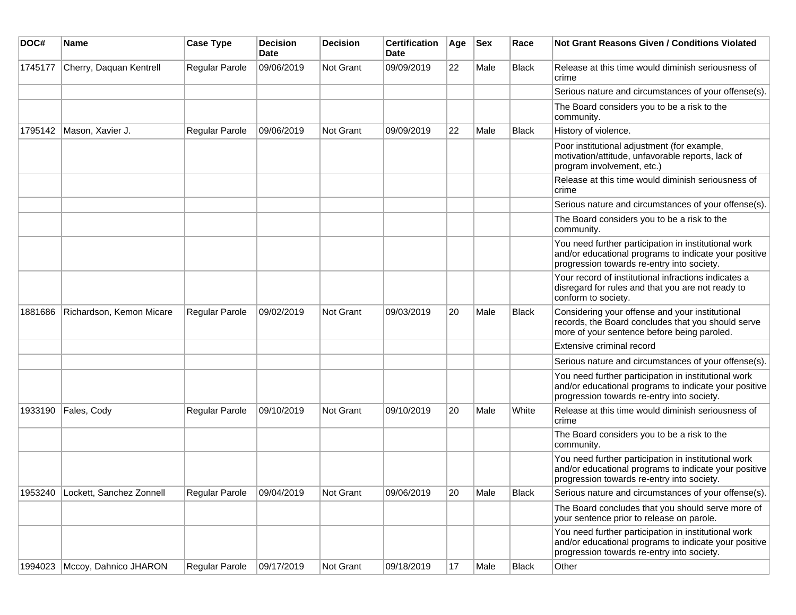| DOC#    | Name                     | <b>Case Type</b> | <b>Decision</b><br><b>Date</b> | <b>Decision</b> | <b>Certification</b><br><b>Date</b> | Age | <b>Sex</b> | Race         | <b>Not Grant Reasons Given / Conditions Violated</b>                                                                                                        |
|---------|--------------------------|------------------|--------------------------------|-----------------|-------------------------------------|-----|------------|--------------|-------------------------------------------------------------------------------------------------------------------------------------------------------------|
| 1745177 | Cherry, Daquan Kentrell  | Regular Parole   | 09/06/2019                     | Not Grant       | 09/09/2019                          | 22  | Male       | <b>Black</b> | Release at this time would diminish seriousness of<br>crime                                                                                                 |
|         |                          |                  |                                |                 |                                     |     |            |              | Serious nature and circumstances of your offense(s).                                                                                                        |
|         |                          |                  |                                |                 |                                     |     |            |              | The Board considers you to be a risk to the<br>community.                                                                                                   |
| 1795142 | Mason, Xavier J.         | Regular Parole   | 09/06/2019                     | Not Grant       | 09/09/2019                          | 22  | Male       | Black        | History of violence.                                                                                                                                        |
|         |                          |                  |                                |                 |                                     |     |            |              | Poor institutional adjustment (for example,<br>motivation/attitude, unfavorable reports, lack of<br>program involvement, etc.)                              |
|         |                          |                  |                                |                 |                                     |     |            |              | Release at this time would diminish seriousness of<br>crime                                                                                                 |
|         |                          |                  |                                |                 |                                     |     |            |              | Serious nature and circumstances of your offense(s).                                                                                                        |
|         |                          |                  |                                |                 |                                     |     |            |              | The Board considers you to be a risk to the<br>community.                                                                                                   |
|         |                          |                  |                                |                 |                                     |     |            |              | You need further participation in institutional work<br>and/or educational programs to indicate your positive<br>progression towards re-entry into society. |
|         |                          |                  |                                |                 |                                     |     |            |              | Your record of institutional infractions indicates a<br>disregard for rules and that you are not ready to<br>conform to society.                            |
| 1881686 | Richardson, Kemon Micare | Regular Parole   | 09/02/2019                     | Not Grant       | 09/03/2019                          | 20  | Male       | <b>Black</b> | Considering your offense and your institutional<br>records, the Board concludes that you should serve<br>more of your sentence before being paroled.        |
|         |                          |                  |                                |                 |                                     |     |            |              | Extensive criminal record                                                                                                                                   |
|         |                          |                  |                                |                 |                                     |     |            |              | Serious nature and circumstances of your offense(s).                                                                                                        |
|         |                          |                  |                                |                 |                                     |     |            |              | You need further participation in institutional work<br>and/or educational programs to indicate your positive<br>progression towards re-entry into society. |
| 1933190 | Fales, Cody              | Regular Parole   | 09/10/2019                     | Not Grant       | 09/10/2019                          | 20  | Male       | White        | Release at this time would diminish seriousness of<br> crime                                                                                                |
|         |                          |                  |                                |                 |                                     |     |            |              | The Board considers you to be a risk to the<br>community.                                                                                                   |
|         |                          |                  |                                |                 |                                     |     |            |              | You need further participation in institutional work<br>and/or educational programs to indicate your positive<br>progression towards re-entry into society. |
| 1953240 | Lockett, Sanchez Zonnell | Regular Parole   | 09/04/2019                     | Not Grant       | 09/06/2019                          | 20  | Male       | Black        | Serious nature and circumstances of your offense(s).                                                                                                        |
|         |                          |                  |                                |                 |                                     |     |            |              | The Board concludes that you should serve more of<br>your sentence prior to release on parole.                                                              |
|         |                          |                  |                                |                 |                                     |     |            |              | You need further participation in institutional work<br>and/or educational programs to indicate your positive<br>progression towards re-entry into society. |
| 1994023 | Mccoy, Dahnico JHARON    | Regular Parole   | 09/17/2019                     | Not Grant       | 09/18/2019                          | 17  | Male       | <b>Black</b> | Other                                                                                                                                                       |